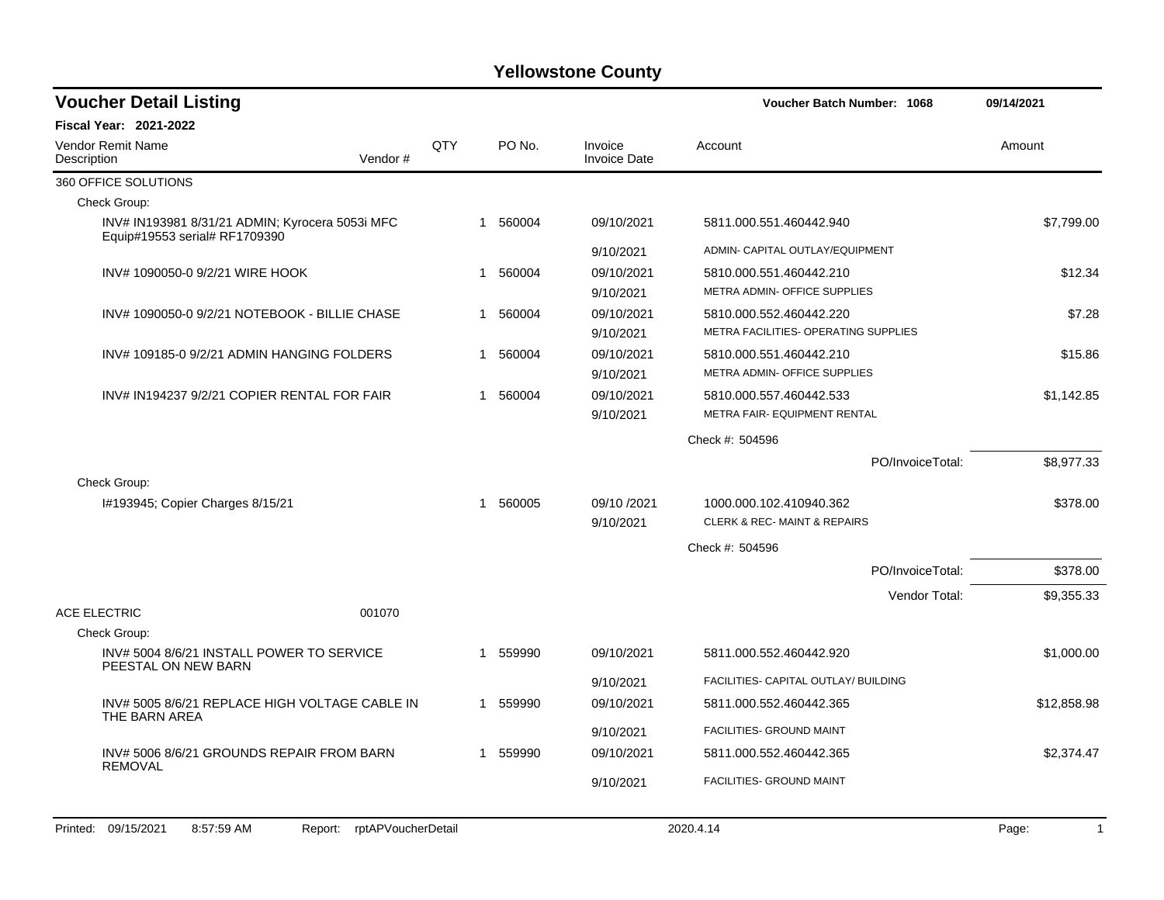| <b>Voucher Detail Listing</b>                                                    |         |     |                                                                                                |                                | <b>Voucher Batch Number: 1068</b>                               |                                                         | 09/14/2021  |
|----------------------------------------------------------------------------------|---------|-----|------------------------------------------------------------------------------------------------|--------------------------------|-----------------------------------------------------------------|---------------------------------------------------------|-------------|
| <b>Fiscal Year: 2021-2022</b>                                                    |         |     |                                                                                                |                                |                                                                 |                                                         |             |
| Vendor Remit Name<br>Description                                                 | Vendor# | QTY | PO No.                                                                                         | Invoice<br><b>Invoice Date</b> | Account                                                         |                                                         | Amount      |
| 360 OFFICE SOLUTIONS                                                             |         |     |                                                                                                |                                |                                                                 |                                                         |             |
| Check Group:                                                                     |         |     |                                                                                                |                                |                                                                 |                                                         |             |
| INV# IN193981 8/31/21 ADMIN; Kyrocera 5053i MFC<br>Equip#19553 serial# RF1709390 |         |     | 1 560004                                                                                       | 09/10/2021                     | 5811.000.551.460442.940                                         |                                                         | \$7,799.00  |
|                                                                                  |         |     |                                                                                                | 9/10/2021                      | ADMIN- CAPITAL OUTLAY/EQUIPMENT                                 |                                                         |             |
| INV# 1090050-0 9/2/21 WIRE HOOK                                                  |         |     | 1 560004                                                                                       | 09/10/2021<br>9/10/2021        | 5810.000.551.460442.210<br>METRA ADMIN- OFFICE SUPPLIES         |                                                         | \$12.34     |
| INV# 1090050-0 9/2/21 NOTEBOOK - BILLIE CHASE                                    |         |     | 1 560004                                                                                       | 09/10/2021<br>9/10/2021        | 5810.000.552.460442.220<br>METRA FACILITIES- OPERATING SUPPLIES |                                                         | \$7.28      |
| INV#109185-09/2/21 ADMIN HANGING FOLDERS                                         |         |     | 1 560004                                                                                       | 09/10/2021<br>9/10/2021        |                                                                 | 5810.000.551.460442.210<br>METRA ADMIN- OFFICE SUPPLIES |             |
| INV# IN194237 9/2/21 COPIER RENTAL FOR FAIR                                      |         |     | 1 560004<br>09/10/2021<br>5810.000.557.460442.533<br>METRA FAIR- EQUIPMENT RENTAL<br>9/10/2021 |                                | \$1,142.85                                                      |                                                         |             |
|                                                                                  |         |     |                                                                                                |                                | Check #: 504596                                                 |                                                         |             |
|                                                                                  |         |     |                                                                                                |                                |                                                                 | PO/InvoiceTotal:                                        | \$8,977.33  |
| Check Group:                                                                     |         |     |                                                                                                |                                |                                                                 |                                                         |             |
| I#193945; Copier Charges 8/15/21                                                 |         |     | 1 560005                                                                                       | 09/10 /2021                    | 1000.000.102.410940.362                                         |                                                         | \$378.00    |
|                                                                                  |         |     |                                                                                                | 9/10/2021                      | <b>CLERK &amp; REC-MAINT &amp; REPAIRS</b>                      |                                                         |             |
|                                                                                  |         |     |                                                                                                |                                | Check #: 504596                                                 |                                                         |             |
|                                                                                  |         |     |                                                                                                |                                |                                                                 | PO/InvoiceTotal:                                        | \$378.00    |
|                                                                                  |         |     |                                                                                                |                                |                                                                 | Vendor Total:                                           | \$9,355.33  |
| <b>ACE ELECTRIC</b>                                                              | 001070  |     |                                                                                                |                                |                                                                 |                                                         |             |
| Check Group:                                                                     |         |     |                                                                                                |                                |                                                                 |                                                         |             |
| INV# 5004 8/6/21 INSTALL POWER TO SERVICE<br>PEESTAL ON NEW BARN                 |         |     | 1 559990                                                                                       | 09/10/2021                     | 5811.000.552.460442.920                                         |                                                         | \$1,000.00  |
|                                                                                  |         |     |                                                                                                | 9/10/2021                      | FACILITIES- CAPITAL OUTLAY/ BUILDING                            |                                                         |             |
| INV# 5005 8/6/21 REPLACE HIGH VOLTAGE CABLE IN<br>THE BARN AREA                  |         |     | 1 559990                                                                                       | 09/10/2021                     | 5811.000.552.460442.365                                         |                                                         | \$12,858.98 |
|                                                                                  |         |     |                                                                                                | 9/10/2021                      | FACILITIES- GROUND MAINT                                        |                                                         |             |
| INV# 5006 8/6/21 GROUNDS REPAIR FROM BARN<br>REMOVAL                             |         |     | 1 559990                                                                                       | 09/10/2021                     | 5811.000.552.460442.365                                         |                                                         | \$2,374.47  |
|                                                                                  |         |     |                                                                                                | 9/10/2021                      | FACILITIES- GROUND MAINT                                        |                                                         |             |
|                                                                                  |         |     |                                                                                                |                                |                                                                 |                                                         |             |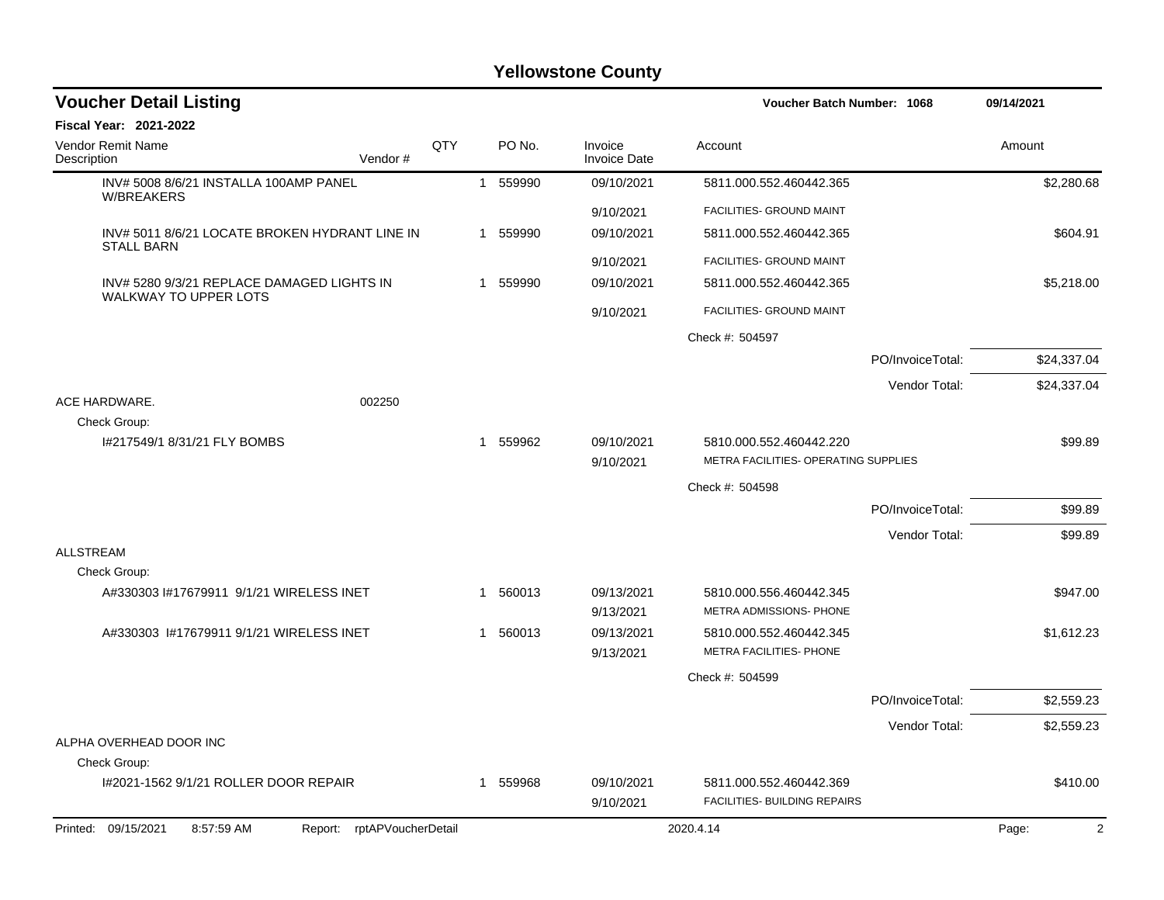| <b>Voucher Detail Listing</b>                                              |     |   |          |                                | Voucher Batch Number: 1068                                      |                  | 09/14/2021  |
|----------------------------------------------------------------------------|-----|---|----------|--------------------------------|-----------------------------------------------------------------|------------------|-------------|
| <b>Fiscal Year: 2021-2022</b>                                              |     |   |          |                                |                                                                 |                  |             |
| Vendor Remit Name<br>Description<br>Vendor#                                | QTY |   | PO No.   | Invoice<br><b>Invoice Date</b> | Account                                                         |                  | Amount      |
| INV# 5008 8/6/21 INSTALLA 100AMP PANEL<br><b>W/BREAKERS</b>                |     |   | 1 559990 | 09/10/2021                     | 5811.000.552.460442.365                                         |                  | \$2,280.68  |
|                                                                            |     |   |          | 9/10/2021                      | FACILITIES- GROUND MAINT                                        |                  |             |
| INV# 5011 8/6/21 LOCATE BROKEN HYDRANT LINE IN<br><b>STALL BARN</b>        |     |   | 1 559990 | 09/10/2021                     | 5811.000.552.460442.365                                         |                  | \$604.91    |
|                                                                            |     |   |          | 9/10/2021                      | FACILITIES- GROUND MAINT                                        |                  |             |
| INV# 5280 9/3/21 REPLACE DAMAGED LIGHTS IN<br><b>WALKWAY TO UPPER LOTS</b> |     |   | 1 559990 | 09/10/2021                     | 5811.000.552.460442.365                                         |                  | \$5,218.00  |
|                                                                            |     |   |          | 9/10/2021                      | FACILITIES- GROUND MAINT                                        |                  |             |
|                                                                            |     |   |          |                                | Check #: 504597                                                 |                  |             |
|                                                                            |     |   |          |                                |                                                                 | PO/InvoiceTotal: | \$24,337.04 |
|                                                                            |     |   |          |                                |                                                                 | Vendor Total:    | \$24,337.04 |
| ACE HARDWARE.<br>002250<br>Check Group:                                    |     |   |          |                                |                                                                 |                  |             |
| I#217549/1 8/31/21 FLY BOMBS                                               |     |   | 1 559962 | 09/10/2021<br>9/10/2021        | 5810.000.552.460442.220<br>METRA FACILITIES- OPERATING SUPPLIES |                  | \$99.89     |
|                                                                            |     |   |          |                                | Check #: 504598                                                 |                  |             |
|                                                                            |     |   |          |                                |                                                                 | PO/InvoiceTotal: | \$99.89     |
|                                                                            |     |   |          |                                |                                                                 | Vendor Total:    | \$99.89     |
| <b>ALLSTREAM</b>                                                           |     |   |          |                                |                                                                 |                  |             |
| Check Group:                                                               |     |   |          |                                |                                                                 |                  |             |
| A#330303 I#17679911 9/1/21 WIRELESS INET                                   |     | 1 | 560013   | 09/13/2021<br>9/13/2021        | 5810.000.556.460442.345<br>METRA ADMISSIONS- PHONE              |                  | \$947.00    |
| A#330303 1#17679911 9/1/21 WIRELESS INET                                   |     |   | 1 560013 | 09/13/2021<br>9/13/2021        | 5810.000.552.460442.345<br>METRA FACILITIES- PHONE              |                  | \$1,612.23  |
|                                                                            |     |   |          |                                | Check #: 504599                                                 |                  |             |
|                                                                            |     |   |          |                                |                                                                 | PO/InvoiceTotal: | \$2,559.23  |
|                                                                            |     |   |          |                                |                                                                 | Vendor Total:    | \$2,559.23  |
| ALPHA OVERHEAD DOOR INC                                                    |     |   |          |                                |                                                                 |                  |             |
| Check Group:                                                               |     |   |          |                                |                                                                 |                  |             |
| I#2021-1562 9/1/21 ROLLER DOOR REPAIR                                      |     |   | 1 559968 | 09/10/2021<br>9/10/2021        | 5811.000.552.460442.369<br><b>FACILITIES- BUILDING REPAIRS</b>  |                  | \$410.00    |
| Printed: 09/15/2021<br>8:57:59 AM<br>Report: rptAPVoucherDetail            |     |   |          |                                | 2020.4.14                                                       |                  | 2<br>Page:  |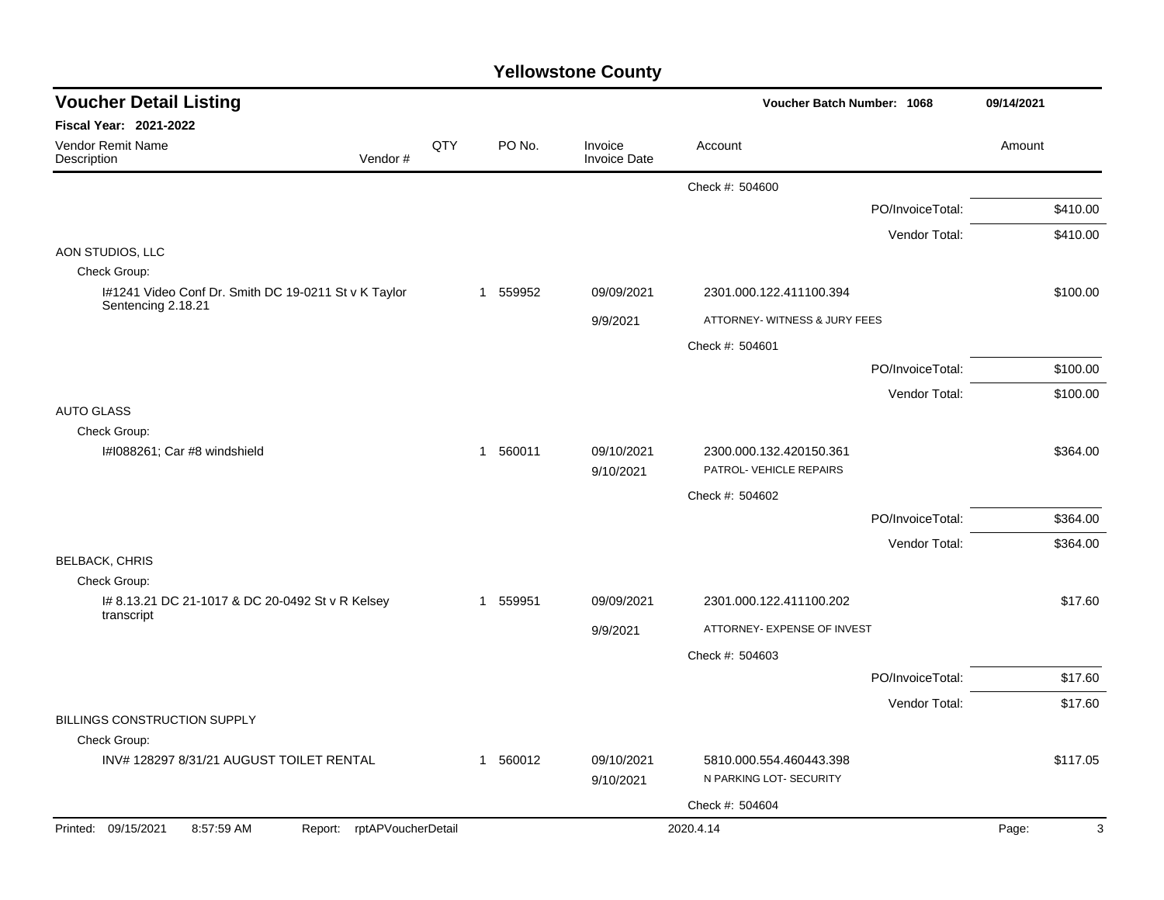| <b>Voucher Detail Listing</b>                                        |     |          |                                | Voucher Batch Number: 1068    |                  | 09/14/2021 |
|----------------------------------------------------------------------|-----|----------|--------------------------------|-------------------------------|------------------|------------|
| <b>Fiscal Year: 2021-2022</b>                                        |     |          |                                |                               |                  |            |
| <b>Vendor Remit Name</b><br>Vendor#<br>Description                   | QTY | PO No.   | Invoice<br><b>Invoice Date</b> | Account                       |                  | Amount     |
|                                                                      |     |          |                                | Check #: 504600               |                  |            |
|                                                                      |     |          |                                |                               | PO/InvoiceTotal: | \$410.00   |
|                                                                      |     |          |                                |                               | Vendor Total:    | \$410.00   |
| AON STUDIOS, LLC                                                     |     |          |                                |                               |                  |            |
| Check Group:<br>I#1241 Video Conf Dr. Smith DC 19-0211 St v K Taylor |     | 1 559952 | 09/09/2021                     | 2301.000.122.411100.394       |                  | \$100.00   |
| Sentencing 2.18.21                                                   |     |          |                                |                               |                  |            |
|                                                                      |     |          | 9/9/2021                       | ATTORNEY- WITNESS & JURY FEES |                  |            |
|                                                                      |     |          |                                | Check #: 504601               |                  |            |
|                                                                      |     |          |                                |                               | PO/InvoiceTotal: | \$100.00   |
|                                                                      |     |          |                                |                               | Vendor Total:    | \$100.00   |
| <b>AUTO GLASS</b><br>Check Group:                                    |     |          |                                |                               |                  |            |
| I#1088261; Car #8 windshield                                         |     | 1 560011 | 09/10/2021                     | 2300.000.132.420150.361       |                  | \$364.00   |
|                                                                      |     |          | 9/10/2021                      | PATROL- VEHICLE REPAIRS       |                  |            |
|                                                                      |     |          |                                | Check #: 504602               |                  |            |
|                                                                      |     |          |                                |                               | PO/InvoiceTotal: | \$364.00   |
|                                                                      |     |          |                                |                               | Vendor Total:    | \$364.00   |
| <b>BELBACK, CHRIS</b>                                                |     |          |                                |                               |                  |            |
| Check Group:                                                         |     |          |                                |                               |                  |            |
| # 8.13.21 DC 21-1017 & DC 20-0492 St v R Kelsey<br>transcript        |     | 1 559951 | 09/09/2021                     | 2301.000.122.411100.202       |                  | \$17.60    |
|                                                                      |     |          | 9/9/2021                       | ATTORNEY- EXPENSE OF INVEST   |                  |            |
|                                                                      |     |          |                                | Check #: 504603               |                  |            |
|                                                                      |     |          |                                |                               | PO/InvoiceTotal: | \$17.60    |
|                                                                      |     |          |                                |                               | Vendor Total:    | \$17.60    |
| BILLINGS CONSTRUCTION SUPPLY                                         |     |          |                                |                               |                  |            |
| Check Group:<br>INV# 128297 8/31/21 AUGUST TOILET RENTAL             |     | 1 560012 | 09/10/2021                     | 5810.000.554.460443.398       |                  | \$117.05   |
|                                                                      |     |          | 9/10/2021                      | N PARKING LOT- SECURITY       |                  |            |
|                                                                      |     |          |                                | Check #: 504604               |                  |            |
| Printed: 09/15/2021<br>8:57:59 AM<br>Report: rptAPVoucherDetail      |     |          |                                | 2020.4.14                     |                  | 3<br>Page: |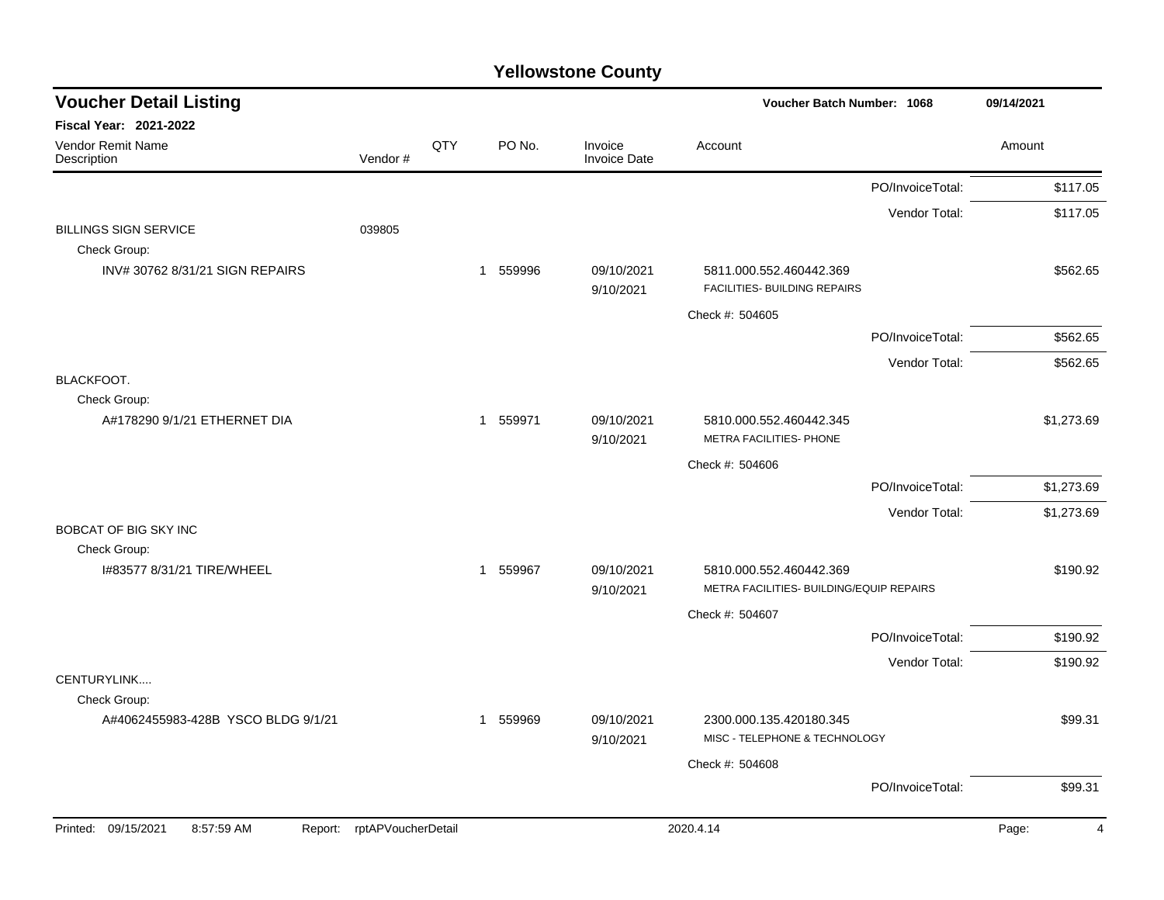| <b>Voucher Detail Listing</b>                |                    |     |              |        | Voucher Batch Number: 1068 | 09/14/2021                                                          |                  |                         |
|----------------------------------------------|--------------------|-----|--------------|--------|----------------------------|---------------------------------------------------------------------|------------------|-------------------------|
| <b>Fiscal Year: 2021-2022</b>                |                    |     |              |        |                            |                                                                     |                  |                         |
| <b>Vendor Remit Name</b><br>Description      | Vendor#            | QTY |              | PO No. | Invoice<br>Invoice Date    | Account                                                             |                  | Amount                  |
|                                              |                    |     |              |        |                            |                                                                     | PO/InvoiceTotal: | \$117.05                |
|                                              |                    |     |              |        |                            |                                                                     | Vendor Total:    | \$117.05                |
| <b>BILLINGS SIGN SERVICE</b><br>Check Group: | 039805             |     |              |        |                            |                                                                     |                  |                         |
| INV#307628/31/21 SIGN REPAIRS                |                    |     | $\mathbf{1}$ | 559996 | 09/10/2021<br>9/10/2021    | 5811.000.552.460442.369<br>FACILITIES- BUILDING REPAIRS             |                  | \$562.65                |
|                                              |                    |     |              |        |                            | Check #: 504605                                                     |                  |                         |
|                                              |                    |     |              |        |                            |                                                                     | PO/InvoiceTotal: | \$562.65                |
|                                              |                    |     |              |        |                            |                                                                     | Vendor Total:    | \$562.65                |
| BLACKFOOT.<br>Check Group:                   |                    |     |              |        |                            |                                                                     |                  |                         |
| A#178290 9/1/21 ETHERNET DIA                 |                    |     | 1 559971     |        | 09/10/2021<br>9/10/2021    | 5810.000.552.460442.345<br>METRA FACILITIES- PHONE                  |                  | \$1,273.69              |
|                                              |                    |     |              |        |                            | Check #: 504606                                                     |                  |                         |
|                                              |                    |     |              |        |                            |                                                                     | PO/InvoiceTotal: | \$1,273.69              |
|                                              |                    |     |              |        |                            |                                                                     | Vendor Total:    | \$1,273.69              |
| <b>BOBCAT OF BIG SKY INC</b><br>Check Group: |                    |     |              |        |                            |                                                                     |                  |                         |
| I#83577 8/31/21 TIRE/WHEEL                   |                    |     | 1 559967     |        | 09/10/2021<br>9/10/2021    | 5810.000.552.460442.369<br>METRA FACILITIES- BUILDING/EQUIP REPAIRS |                  | \$190.92                |
|                                              |                    |     |              |        |                            | Check #: 504607                                                     |                  |                         |
|                                              |                    |     |              |        |                            |                                                                     | PO/InvoiceTotal: | \$190.92                |
|                                              |                    |     |              |        |                            |                                                                     | Vendor Total:    | \$190.92                |
| CENTURYLINK<br>Check Group:                  |                    |     |              |        |                            |                                                                     |                  |                         |
| A#4062455983-428B YSCO BLDG 9/1/21           |                    |     | 1 559969     |        | 09/10/2021<br>9/10/2021    | 2300.000.135.420180.345<br>MISC - TELEPHONE & TECHNOLOGY            |                  | \$99.31                 |
|                                              |                    |     |              |        |                            | Check #: 504608                                                     |                  |                         |
|                                              |                    |     |              |        |                            |                                                                     | PO/InvoiceTotal: | \$99.31                 |
| Printed: 09/15/2021<br>8:57:59 AM<br>Report: | rptAPVoucherDetail |     |              |        |                            | 2020.4.14                                                           |                  | Page:<br>$\overline{4}$ |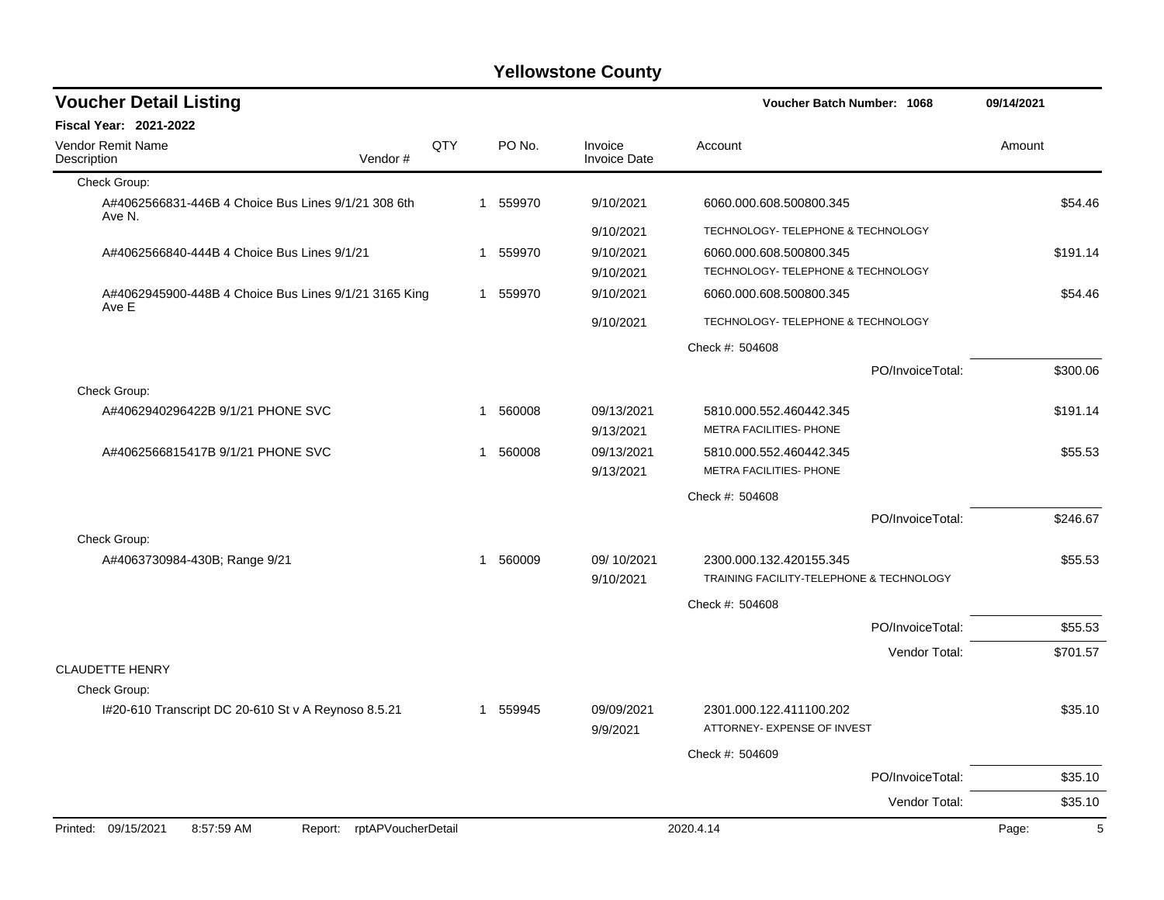| <b>Voucher Detail Listing</b>                                  |                            |     |   |          |                                | Voucher Batch Number: 1068                                          |                  | 09/14/2021 |          |
|----------------------------------------------------------------|----------------------------|-----|---|----------|--------------------------------|---------------------------------------------------------------------|------------------|------------|----------|
| Fiscal Year: 2021-2022                                         |                            |     |   |          |                                |                                                                     |                  |            |          |
| <b>Vendor Remit Name</b><br>Description                        | Vendor#                    | QTY |   | PO No.   | Invoice<br><b>Invoice Date</b> | Account                                                             |                  | Amount     |          |
| Check Group:                                                   |                            |     |   |          |                                |                                                                     |                  |            |          |
| A#4062566831-446B 4 Choice Bus Lines 9/1/21 308 6th<br>Ave N.  |                            |     |   | 1 559970 | 9/10/2021                      | 6060.000.608.500800.345                                             |                  |            | \$54.46  |
|                                                                |                            |     |   |          | 9/10/2021                      | TECHNOLOGY- TELEPHONE & TECHNOLOGY                                  |                  |            |          |
| A#4062566840-444B 4 Choice Bus Lines 9/1/21                    |                            |     | 1 | 559970   | 9/10/2021                      | 6060.000.608.500800.345                                             |                  |            | \$191.14 |
|                                                                |                            |     |   |          | 9/10/2021                      | TECHNOLOGY- TELEPHONE & TECHNOLOGY                                  |                  |            |          |
| A#4062945900-448B 4 Choice Bus Lines 9/1/21 3165 King<br>Ave E |                            |     |   | 1 559970 | 9/10/2021                      | 6060.000.608.500800.345                                             |                  |            | \$54.46  |
|                                                                |                            |     |   |          | 9/10/2021                      | TECHNOLOGY- TELEPHONE & TECHNOLOGY                                  |                  |            |          |
|                                                                |                            |     |   |          |                                | Check #: 504608                                                     |                  |            |          |
|                                                                |                            |     |   |          |                                |                                                                     | PO/InvoiceTotal: |            | \$300.06 |
| Check Group:                                                   |                            |     |   |          |                                |                                                                     |                  |            |          |
| A#4062940296422B 9/1/21 PHONE SVC                              |                            |     | 1 | 560008   | 09/13/2021<br>9/13/2021        | 5810.000.552.460442.345<br>METRA FACILITIES- PHONE                  |                  |            | \$191.14 |
| A#4062566815417B 9/1/21 PHONE SVC                              |                            |     | 1 | 560008   | 09/13/2021                     | 5810.000.552.460442.345                                             |                  |            | \$55.53  |
|                                                                |                            |     |   |          | 9/13/2021                      | METRA FACILITIES- PHONE                                             |                  |            |          |
|                                                                |                            |     |   |          |                                | Check #: 504608                                                     |                  |            |          |
|                                                                |                            |     |   |          |                                |                                                                     | PO/InvoiceTotal: |            | \$246.67 |
| Check Group:                                                   |                            |     |   |          |                                |                                                                     |                  |            |          |
| A#4063730984-430B; Range 9/21                                  |                            |     | 1 | 560009   | 09/10/2021<br>9/10/2021        | 2300.000.132.420155.345<br>TRAINING FACILITY-TELEPHONE & TECHNOLOGY |                  |            | \$55.53  |
|                                                                |                            |     |   |          |                                | Check #: 504608                                                     |                  |            |          |
|                                                                |                            |     |   |          |                                |                                                                     | PO/InvoiceTotal: |            | \$55.53  |
|                                                                |                            |     |   |          |                                |                                                                     |                  |            |          |
| <b>CLAUDETTE HENRY</b>                                         |                            |     |   |          |                                |                                                                     | Vendor Total:    |            | \$701.57 |
| Check Group:                                                   |                            |     |   |          |                                |                                                                     |                  |            |          |
| I#20-610 Transcript DC 20-610 St v A Reynoso 8.5.21            |                            |     | 1 | 559945   | 09/09/2021                     | 2301.000.122.411100.202                                             |                  |            | \$35.10  |
|                                                                |                            |     |   |          | 9/9/2021                       | ATTORNEY- EXPENSE OF INVEST                                         |                  |            |          |
|                                                                |                            |     |   |          |                                | Check #: 504609                                                     |                  |            |          |
|                                                                |                            |     |   |          |                                |                                                                     | PO/InvoiceTotal: |            | \$35.10  |
|                                                                |                            |     |   |          |                                |                                                                     | Vendor Total:    |            | \$35.10  |
| Printed: 09/15/2021<br>8:57:59 AM                              | Report: rptAPVoucherDetail |     |   |          |                                | 2020.4.14                                                           |                  | Page:      | 5        |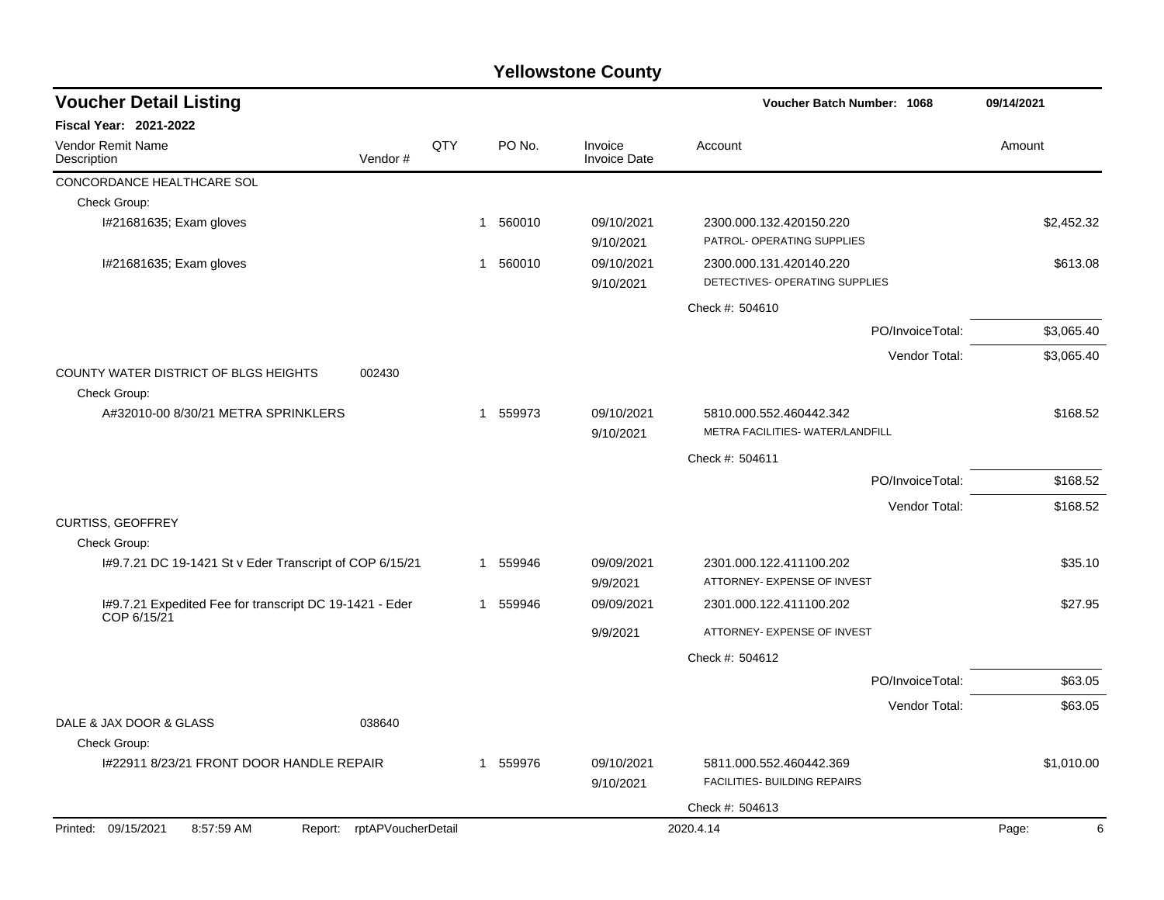| <b>Voucher Detail Listing</b>                           |                            |     |          |                                | <b>Voucher Batch Number: 1068</b>                           |                  | 09/14/2021 |  |
|---------------------------------------------------------|----------------------------|-----|----------|--------------------------------|-------------------------------------------------------------|------------------|------------|--|
| <b>Fiscal Year: 2021-2022</b>                           |                            |     |          |                                |                                                             |                  |            |  |
| <b>Vendor Remit Name</b><br>Description                 | Vendor#                    | QTY | PO No.   | Invoice<br><b>Invoice Date</b> | Account                                                     |                  | Amount     |  |
| CONCORDANCE HEALTHCARE SOL                              |                            |     |          |                                |                                                             |                  |            |  |
| Check Group:                                            |                            |     |          |                                |                                                             |                  |            |  |
| I#21681635; Exam gloves                                 |                            |     | 1 560010 | 09/10/2021<br>9/10/2021        | 2300.000.132.420150.220<br>PATROL- OPERATING SUPPLIES       |                  | \$2,452.32 |  |
| I#21681635; Exam gloves                                 |                            |     | 1 560010 | 09/10/2021<br>9/10/2021        | 2300.000.131.420140.220<br>DETECTIVES- OPERATING SUPPLIES   |                  | \$613.08   |  |
|                                                         |                            |     |          |                                | Check #: 504610                                             |                  |            |  |
|                                                         |                            |     |          |                                |                                                             | PO/InvoiceTotal: | \$3,065.40 |  |
|                                                         |                            |     |          |                                |                                                             | Vendor Total:    | \$3,065.40 |  |
| COUNTY WATER DISTRICT OF BLGS HEIGHTS<br>Check Group:   | 002430                     |     |          |                                |                                                             |                  |            |  |
| A#32010-00 8/30/21 METRA SPRINKLERS                     |                            |     | 1 559973 | 09/10/2021<br>9/10/2021        | 5810.000.552.460442.342<br>METRA FACILITIES- WATER/LANDFILL |                  | \$168.52   |  |
|                                                         |                            |     |          |                                | Check #: 504611                                             |                  |            |  |
|                                                         |                            |     |          |                                |                                                             | PO/InvoiceTotal: | \$168.52   |  |
|                                                         |                            |     |          |                                |                                                             | Vendor Total:    | \$168.52   |  |
| CURTISS, GEOFFREY                                       |                            |     |          |                                |                                                             |                  |            |  |
| Check Group:                                            |                            |     |          |                                |                                                             |                  |            |  |
| I#9.7.21 DC 19-1421 St v Eder Transcript of COP 6/15/21 |                            |     | 1 559946 | 09/09/2021<br>9/9/2021         | 2301.000.122.411100.202<br>ATTORNEY- EXPENSE OF INVEST      |                  | \$35.10    |  |
| I#9.7.21 Expedited Fee for transcript DC 19-1421 - Eder |                            |     | 1 559946 | 09/09/2021                     | 2301.000.122.411100.202                                     |                  | \$27.95    |  |
| COP 6/15/21                                             |                            |     |          | 9/9/2021                       | ATTORNEY- EXPENSE OF INVEST                                 |                  |            |  |
|                                                         |                            |     |          |                                | Check #: 504612                                             |                  |            |  |
|                                                         |                            |     |          |                                |                                                             | PO/InvoiceTotal: | \$63.05    |  |
|                                                         |                            |     |          |                                |                                                             | Vendor Total:    | \$63.05    |  |
| DALE & JAX DOOR & GLASS<br>Check Group:                 | 038640                     |     |          |                                |                                                             |                  |            |  |
| I#22911 8/23/21 FRONT DOOR HANDLE REPAIR                |                            |     | 1 559976 | 09/10/2021<br>9/10/2021        | 5811.000.552.460442.369<br>FACILITIES- BUILDING REPAIRS     |                  | \$1,010.00 |  |
|                                                         |                            |     |          |                                | Check #: 504613                                             |                  |            |  |
| Printed: 09/15/2021<br>8:57:59 AM                       | Report: rptAPVoucherDetail |     |          |                                | 2020.4.14                                                   |                  | 6<br>Page: |  |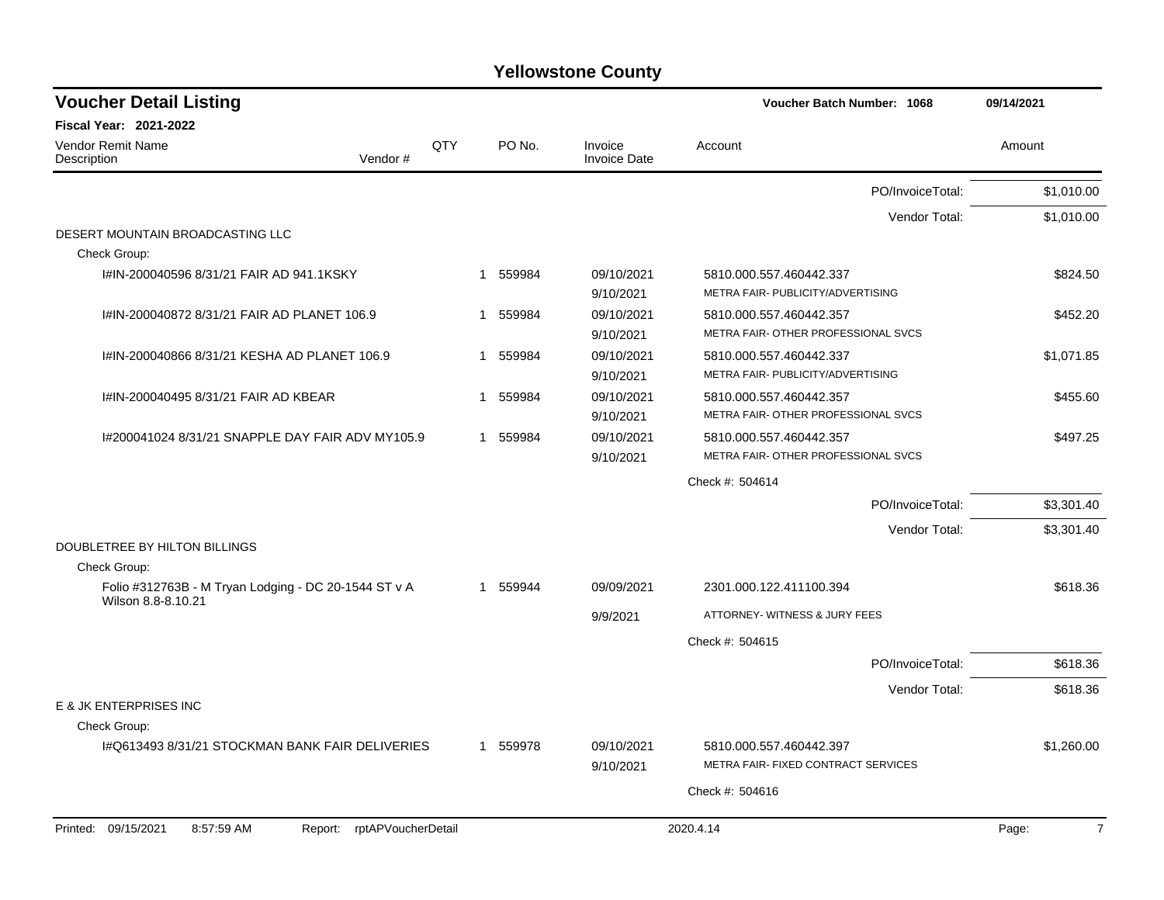| <b>Voucher Detail Listing</b>                                      |            |                       |                                | Voucher Batch Number: 1068                                     | 09/14/2021              |
|--------------------------------------------------------------------|------------|-----------------------|--------------------------------|----------------------------------------------------------------|-------------------------|
| <b>Fiscal Year: 2021-2022</b>                                      |            |                       |                                |                                                                |                         |
| <b>Vendor Remit Name</b><br>Vendor#<br>Description                 | <b>QTY</b> | PO No.                | Invoice<br><b>Invoice Date</b> | Account                                                        | Amount                  |
|                                                                    |            |                       |                                | PO/InvoiceTotal:                                               | \$1,010.00              |
|                                                                    |            |                       |                                | Vendor Total:                                                  | \$1,010.00              |
| DESERT MOUNTAIN BROADCASTING LLC<br>Check Group:                   |            |                       |                                |                                                                |                         |
| I#IN-200040596 8/31/21 FAIR AD 941.1KSKY                           |            | 1 559984              | 09/10/2021<br>9/10/2021        | 5810.000.557.460442.337<br>METRA FAIR- PUBLICITY/ADVERTISING   | \$824.50                |
| I#IN-200040872 8/31/21 FAIR AD PLANET 106.9                        |            | 1 559984              | 09/10/2021<br>9/10/2021        | 5810.000.557.460442.357<br>METRA FAIR- OTHER PROFESSIONAL SVCS | \$452.20                |
| I#IN-200040866 8/31/21 KESHA AD PLANET 106.9                       |            | 559984<br>1           | 09/10/2021<br>9/10/2021        | 5810.000.557.460442.337<br>METRA FAIR- PUBLICITY/ADVERTISING   | \$1.071.85              |
| I#IN-200040495 8/31/21 FAIR AD KBEAR                               |            | 559984<br>$\mathbf 1$ | 09/10/2021<br>9/10/2021        | 5810.000.557.460442.357<br>METRA FAIR- OTHER PROFESSIONAL SVCS | \$455.60                |
| I#200041024 8/31/21 SNAPPLE DAY FAIR ADV MY105.9                   |            | 1 559984              | 09/10/2021<br>9/10/2021        | 5810.000.557.460442.357<br>METRA FAIR- OTHER PROFESSIONAL SVCS | \$497.25                |
|                                                                    |            |                       |                                | Check #: 504614                                                |                         |
|                                                                    |            |                       |                                | PO/InvoiceTotal:                                               | \$3,301.40              |
|                                                                    |            |                       |                                | Vendor Total:                                                  | \$3,301.40              |
| DOUBLETREE BY HILTON BILLINGS<br>Check Group:                      |            |                       |                                |                                                                |                         |
| Folio #312763B - M Tryan Lodging - DC 20-1544 ST v A               |            | 1 559944              | 09/09/2021                     | 2301.000.122.411100.394                                        | \$618.36                |
| Wilson 8.8-8.10.21                                                 |            |                       | 9/9/2021                       | ATTORNEY- WITNESS & JURY FEES                                  |                         |
|                                                                    |            |                       |                                | Check #: 504615                                                |                         |
|                                                                    |            |                       |                                | PO/InvoiceTotal:                                               | \$618.36                |
| <b>E &amp; JK ENTERPRISES INC</b>                                  |            |                       |                                | Vendor Total:                                                  | \$618.36                |
| Check Group:                                                       |            |                       |                                |                                                                |                         |
| I#Q613493 8/31/21 STOCKMAN BANK FAIR DELIVERIES                    |            | 1 559978              | 09/10/2021<br>9/10/2021        | 5810.000.557.460442.397<br>METRA FAIR- FIXED CONTRACT SERVICES | \$1,260.00              |
|                                                                    |            |                       |                                | Check #: 504616                                                |                         |
| Printed: 09/15/2021<br>8:57:59 AM<br>rptAPVoucherDetail<br>Report: |            |                       |                                | 2020.4.14                                                      | $\overline{7}$<br>Page: |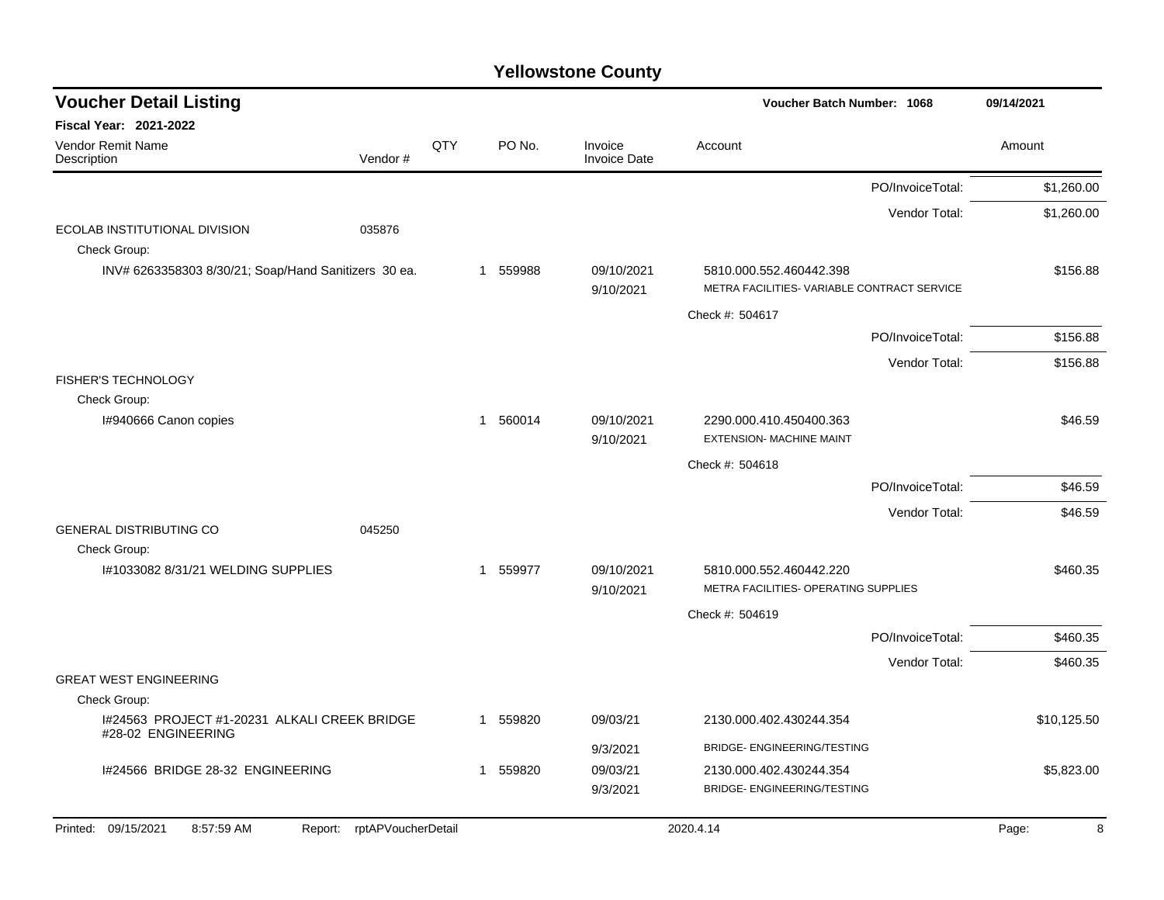| <b>Voucher Detail Listing</b>                                      |                            |     |             |                                | <b>Voucher Batch Number: 1068</b>                               |                  | 09/14/2021  |
|--------------------------------------------------------------------|----------------------------|-----|-------------|--------------------------------|-----------------------------------------------------------------|------------------|-------------|
| <b>Fiscal Year: 2021-2022</b>                                      |                            |     |             |                                |                                                                 |                  |             |
| Vendor Remit Name<br>Description                                   | Vendor#                    | QTY | PO No.      | Invoice<br><b>Invoice Date</b> | Account                                                         |                  | Amount      |
|                                                                    |                            |     |             |                                |                                                                 | PO/InvoiceTotal: | \$1,260.00  |
|                                                                    |                            |     |             |                                |                                                                 | Vendor Total:    | \$1,260.00  |
| ECOLAB INSTITUTIONAL DIVISION<br>Check Group:                      | 035876                     |     |             |                                |                                                                 |                  |             |
| INV# 6263358303 8/30/21; Soap/Hand Sanitizers 30 ea.               |                            |     | 1 559988    | 09/10/2021                     | 5810.000.552.460442.398                                         |                  | \$156.88    |
|                                                                    |                            |     |             | 9/10/2021                      | METRA FACILITIES- VARIABLE CONTRACT SERVICE                     |                  |             |
|                                                                    |                            |     |             |                                | Check #: 504617                                                 |                  |             |
|                                                                    |                            |     |             |                                |                                                                 | PO/InvoiceTotal: | \$156.88    |
|                                                                    |                            |     |             |                                |                                                                 | Vendor Total:    | \$156.88    |
| <b>FISHER'S TECHNOLOGY</b>                                         |                            |     |             |                                |                                                                 |                  |             |
| Check Group:<br>I#940666 Canon copies                              |                            |     | 1 560014    | 09/10/2021                     | 2290.000.410.450400.363                                         |                  | \$46.59     |
|                                                                    |                            |     |             | 9/10/2021                      | <b>EXTENSION- MACHINE MAINT</b>                                 |                  |             |
|                                                                    |                            |     |             |                                | Check #: 504618                                                 |                  |             |
|                                                                    |                            |     |             |                                |                                                                 | PO/InvoiceTotal: | \$46.59     |
|                                                                    |                            |     |             |                                |                                                                 | Vendor Total:    | \$46.59     |
| <b>GENERAL DISTRIBUTING CO</b>                                     | 045250                     |     |             |                                |                                                                 |                  |             |
| Check Group:                                                       |                            |     |             |                                |                                                                 |                  |             |
| I#1033082 8/31/21 WELDING SUPPLIES                                 |                            |     | 1 559977    | 09/10/2021                     | 5810.000.552.460442.220<br>METRA FACILITIES- OPERATING SUPPLIES |                  | \$460.35    |
|                                                                    |                            |     |             | 9/10/2021                      |                                                                 |                  |             |
|                                                                    |                            |     |             |                                | Check #: 504619                                                 | PO/InvoiceTotal: | \$460.35    |
|                                                                    |                            |     |             |                                |                                                                 |                  |             |
| <b>GREAT WEST ENGINEERING</b>                                      |                            |     |             |                                |                                                                 | Vendor Total:    | \$460.35    |
| Check Group:                                                       |                            |     |             |                                |                                                                 |                  |             |
| I#24563 PROJECT #1-20231 ALKALI CREEK BRIDGE<br>#28-02 ENGINEERING |                            |     | 1 559820    | 09/03/21                       | 2130.000.402.430244.354                                         |                  | \$10,125.50 |
|                                                                    |                            |     |             | 9/3/2021                       | BRIDGE- ENGINEERING/TESTING                                     |                  |             |
| I#24566 BRIDGE 28-32 ENGINEERING                                   |                            |     | 559820<br>1 | 09/03/21                       | 2130.000.402.430244.354                                         |                  | \$5,823.00  |
|                                                                    |                            |     |             | 9/3/2021                       | BRIDGE- ENGINEERING/TESTING                                     |                  |             |
| Printed: 09/15/2021<br>8:57:59 AM                                  | Report: rptAPVoucherDetail |     |             |                                | 2020.4.14                                                       |                  | Page:<br>8  |
|                                                                    |                            |     |             |                                |                                                                 |                  |             |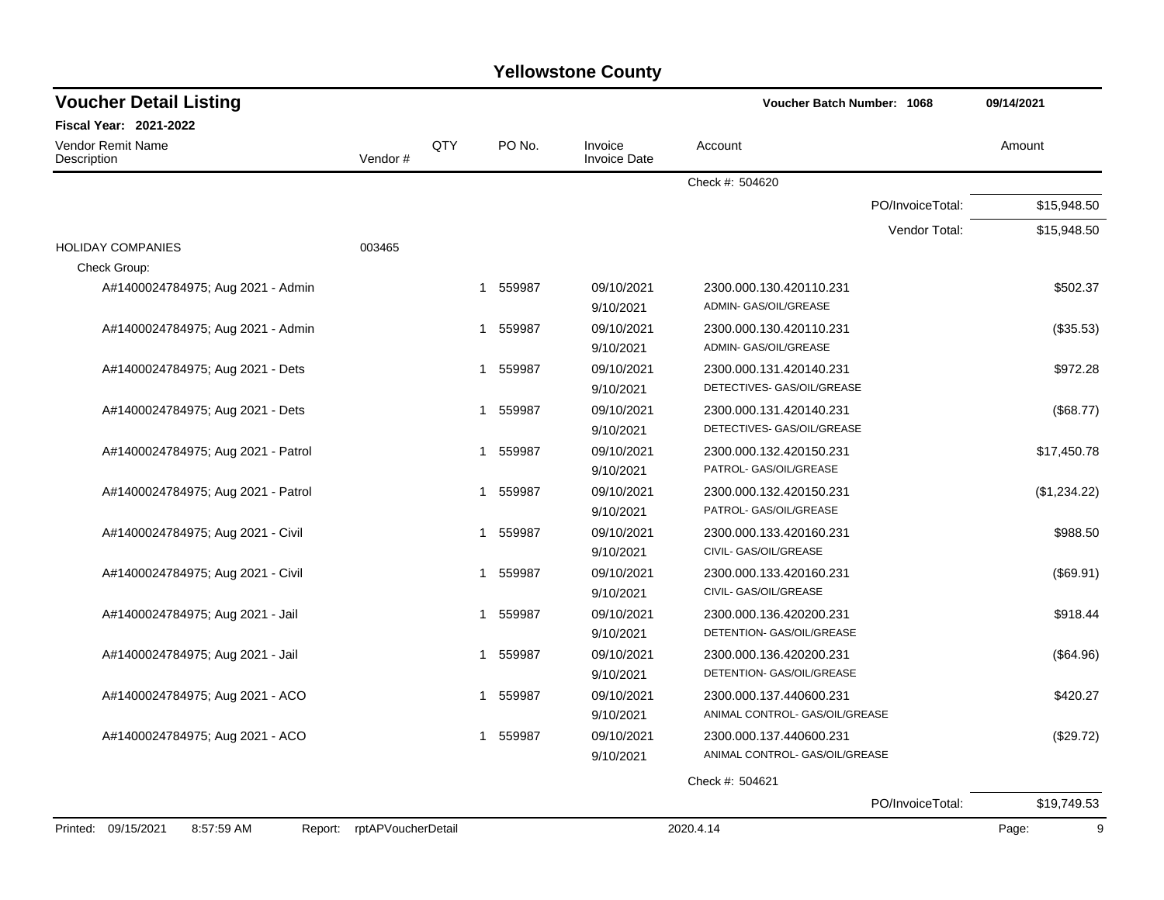| <b>Voucher Detail Listing</b>                |                    |     |                        |                                | Voucher Batch Number: 1068                                | 09/14/2021   |
|----------------------------------------------|--------------------|-----|------------------------|--------------------------------|-----------------------------------------------------------|--------------|
| <b>Fiscal Year: 2021-2022</b>                |                    |     |                        |                                |                                                           |              |
| Vendor Remit Name<br>Description             | Vendor#            | QTY | PO No.                 | Invoice<br><b>Invoice Date</b> | Account                                                   | Amount       |
|                                              |                    |     |                        |                                | Check #: 504620                                           |              |
|                                              |                    |     |                        |                                | PO/InvoiceTotal:                                          | \$15,948.50  |
|                                              |                    |     |                        |                                | Vendor Total:                                             | \$15,948.50  |
| <b>HOLIDAY COMPANIES</b><br>Check Group:     | 003465             |     |                        |                                |                                                           |              |
| A#1400024784975; Aug 2021 - Admin            |                    |     | 559987<br>1            | 09/10/2021<br>9/10/2021        | 2300.000.130.420110.231<br>ADMIN- GAS/OIL/GREASE          | \$502.37     |
| A#1400024784975; Aug 2021 - Admin            |                    |     | 559987<br>$\mathbf 1$  | 09/10/2021<br>9/10/2021        | 2300.000.130.420110.231<br>ADMIN- GAS/OIL/GREASE          | (\$35.53)    |
| A#1400024784975; Aug 2021 - Dets             |                    |     | 559987<br>$\mathbf{1}$ | 09/10/2021<br>9/10/2021        | 2300.000.131.420140.231<br>DETECTIVES- GAS/OIL/GREASE     | \$972.28     |
| A#1400024784975; Aug 2021 - Dets             |                    | 1   | 559987                 | 09/10/2021<br>9/10/2021        | 2300.000.131.420140.231<br>DETECTIVES- GAS/OIL/GREASE     | (\$68.77)    |
| A#1400024784975; Aug 2021 - Patrol           |                    |     | 559987<br>1            | 09/10/2021<br>9/10/2021        | 2300.000.132.420150.231<br>PATROL- GAS/OIL/GREASE         | \$17,450.78  |
| A#1400024784975; Aug 2021 - Patrol           |                    |     | 559987<br>1            | 09/10/2021<br>9/10/2021        | 2300.000.132.420150.231<br>PATROL- GAS/OIL/GREASE         | (\$1,234.22) |
| A#1400024784975; Aug 2021 - Civil            |                    |     | 559987<br>1            | 09/10/2021<br>9/10/2021        | 2300.000.133.420160.231<br>CIVIL- GAS/OIL/GREASE          | \$988.50     |
| A#1400024784975; Aug 2021 - Civil            |                    |     | 559987<br>1            | 09/10/2021<br>9/10/2021        | 2300.000.133.420160.231<br>CIVIL- GAS/OIL/GREASE          | (\$69.91)    |
| A#1400024784975; Aug 2021 - Jail             |                    |     | 1 559987               | 09/10/2021<br>9/10/2021        | 2300.000.136.420200.231<br>DETENTION- GAS/OIL/GREASE      | \$918.44     |
| A#1400024784975; Aug 2021 - Jail             |                    |     | 1 559987               | 09/10/2021<br>9/10/2021        | 2300.000.136.420200.231<br>DETENTION- GAS/OIL/GREASE      | (\$64.96)    |
| A#1400024784975; Aug 2021 - ACO              |                    |     | 1 559987               | 09/10/2021<br>9/10/2021        | 2300.000.137.440600.231<br>ANIMAL CONTROL- GAS/OIL/GREASE | \$420.27     |
| A#1400024784975; Aug 2021 - ACO              |                    |     | 559987<br>$\mathbf{1}$ | 09/10/2021<br>9/10/2021        | 2300.000.137.440600.231<br>ANIMAL CONTROL- GAS/OIL/GREASE | (\$29.72)    |
|                                              |                    |     |                        |                                | Check #: 504621                                           |              |
|                                              |                    |     |                        |                                | PO/InvoiceTotal:                                          | \$19,749.53  |
| Printed: 09/15/2021<br>8:57:59 AM<br>Report: | rptAPVoucherDetail |     |                        |                                | 2020.4.14                                                 | 9<br>Page:   |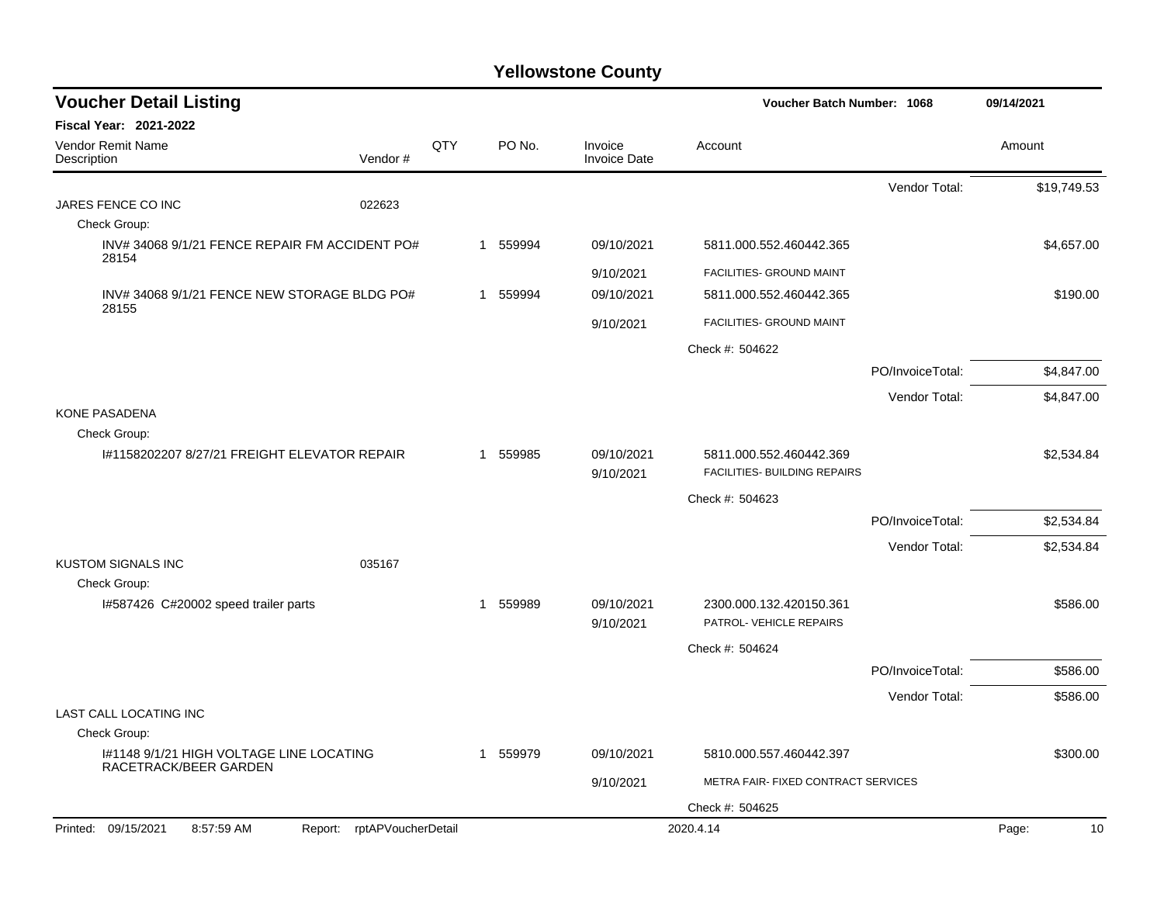| <b>Voucher Detail Listing</b>                                     |                    |     |                        | Voucher Batch Number: 1068     |                                                    |                  |             |  |
|-------------------------------------------------------------------|--------------------|-----|------------------------|--------------------------------|----------------------------------------------------|------------------|-------------|--|
| <b>Fiscal Year: 2021-2022</b>                                     |                    |     |                        |                                |                                                    |                  |             |  |
| <b>Vendor Remit Name</b><br>Description                           | Vendor#            | QTY | PO No.                 | Invoice<br><b>Invoice Date</b> | Account                                            |                  | Amount      |  |
|                                                                   |                    |     |                        |                                |                                                    | Vendor Total:    | \$19,749.53 |  |
| JARES FENCE CO INC                                                | 022623             |     |                        |                                |                                                    |                  |             |  |
| Check Group:                                                      |                    |     |                        |                                |                                                    |                  |             |  |
| INV#340689/1/21 FENCE REPAIR FM ACCIDENT PO#<br>28154             |                    |     | 559994<br>$\mathbf{1}$ | 09/10/2021                     | 5811.000.552.460442.365                            |                  | \$4,657.00  |  |
|                                                                   |                    |     |                        | 9/10/2021                      | FACILITIES- GROUND MAINT                           |                  |             |  |
| INV#340689/1/21 FENCE NEW STORAGE BLDG PO#<br>28155               |                    |     | 559994<br>$\mathbf{1}$ | 09/10/2021                     | 5811.000.552.460442.365                            |                  | \$190.00    |  |
|                                                                   |                    |     |                        | 9/10/2021                      | FACILITIES- GROUND MAINT                           |                  |             |  |
|                                                                   |                    |     |                        |                                | Check #: 504622                                    |                  |             |  |
|                                                                   |                    |     |                        |                                |                                                    | PO/InvoiceTotal: | \$4,847.00  |  |
|                                                                   |                    |     |                        |                                |                                                    | Vendor Total:    | \$4,847.00  |  |
| <b>KONE PASADENA</b>                                              |                    |     |                        |                                |                                                    |                  |             |  |
| Check Group:<br>1#1158202207 8/27/21 FREIGHT ELEVATOR REPAIR      |                    |     | 1 559985               | 09/10/2021                     | 5811.000.552.460442.369                            |                  | \$2,534.84  |  |
|                                                                   |                    |     |                        | 9/10/2021                      | FACILITIES- BUILDING REPAIRS                       |                  |             |  |
|                                                                   |                    |     |                        |                                | Check #: 504623                                    |                  |             |  |
|                                                                   |                    |     |                        |                                |                                                    | PO/InvoiceTotal: | \$2,534.84  |  |
|                                                                   |                    |     |                        |                                |                                                    | Vendor Total:    | \$2,534.84  |  |
| <b>KUSTOM SIGNALS INC</b>                                         | 035167             |     |                        |                                |                                                    |                  |             |  |
| Check Group:                                                      |                    |     |                        |                                |                                                    |                  |             |  |
| I#587426 C#20002 speed trailer parts                              |                    |     | 1 559989               | 09/10/2021<br>9/10/2021        | 2300.000.132.420150.361<br>PATROL- VEHICLE REPAIRS |                  | \$586.00    |  |
|                                                                   |                    |     |                        |                                | Check #: 504624                                    |                  |             |  |
|                                                                   |                    |     |                        |                                |                                                    | PO/InvoiceTotal: | \$586.00    |  |
|                                                                   |                    |     |                        |                                |                                                    | Vendor Total:    | \$586.00    |  |
| <b>LAST CALL LOCATING INC</b>                                     |                    |     |                        |                                |                                                    |                  |             |  |
| Check Group:                                                      |                    |     |                        |                                |                                                    |                  |             |  |
| I#1148 9/1/21 HIGH VOLTAGE LINE LOCATING<br>RACETRACK/BEER GARDEN |                    |     | 1 559979               | 09/10/2021                     | 5810.000.557.460442.397                            |                  | \$300.00    |  |
|                                                                   |                    |     |                        | 9/10/2021                      | METRA FAIR- FIXED CONTRACT SERVICES                |                  |             |  |
|                                                                   |                    |     |                        |                                | Check #: 504625                                    |                  |             |  |
| Printed: 09/15/2021<br>8:57:59 AM<br>Report:                      | rptAPVoucherDetail |     |                        |                                | 2020.4.14                                          |                  | Page:<br>10 |  |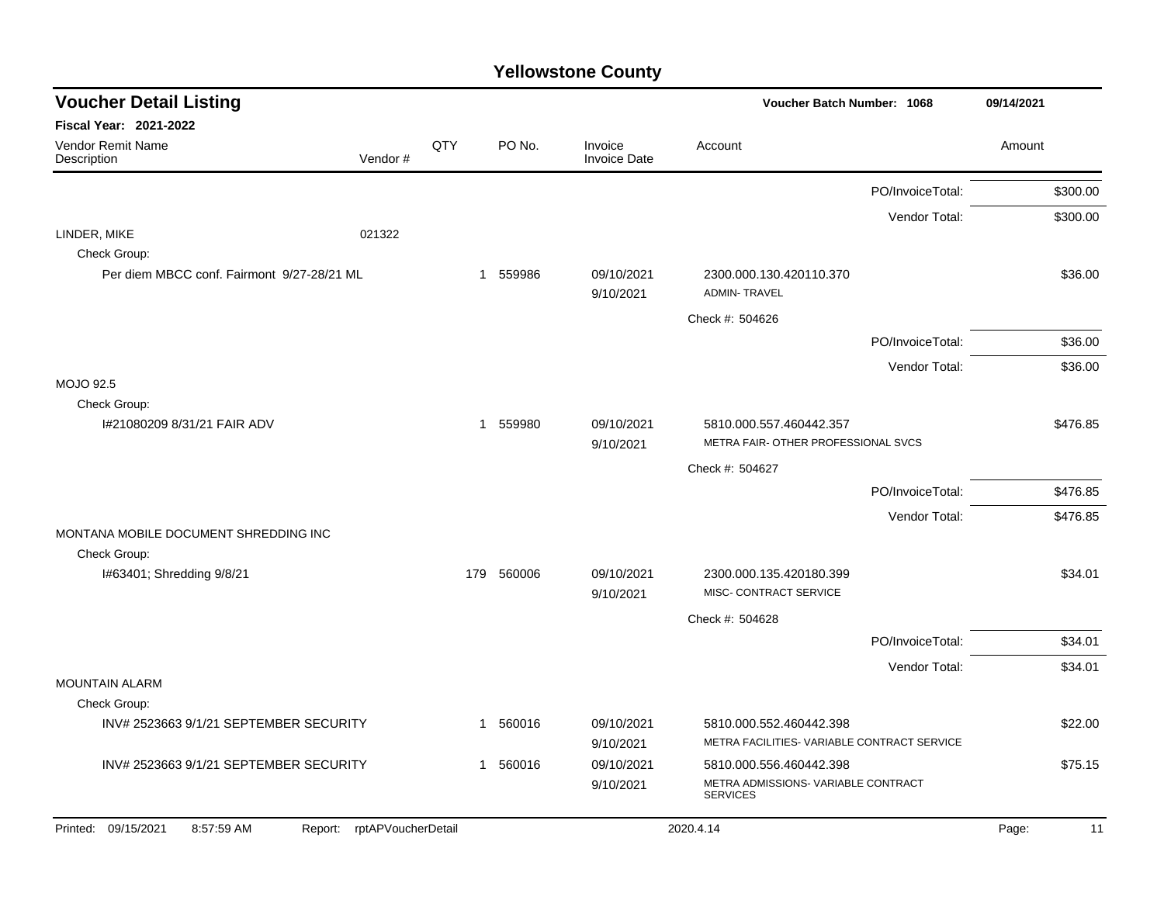| <b>Voucher Detail Listing</b>                         |                    |              |          |                                | Voucher Batch Number: 1068                                     |                  | 09/14/2021  |
|-------------------------------------------------------|--------------------|--------------|----------|--------------------------------|----------------------------------------------------------------|------------------|-------------|
| <b>Fiscal Year: 2021-2022</b>                         |                    |              |          |                                |                                                                |                  |             |
| Vendor Remit Name<br>Description                      | Vendor#            | QTY          | PO No.   | Invoice<br><b>Invoice Date</b> | Account                                                        |                  | Amount      |
|                                                       |                    |              |          |                                |                                                                | PO/InvoiceTotal: | \$300.00    |
|                                                       |                    |              |          |                                |                                                                | Vendor Total:    | \$300.00    |
| LINDER, MIKE                                          | 021322             |              |          |                                |                                                                |                  |             |
| Check Group:                                          |                    |              |          |                                |                                                                |                  |             |
| Per diem MBCC conf. Fairmont 9/27-28/21 ML            |                    |              | 1 559986 | 09/10/2021<br>9/10/2021        | 2300.000.130.420110.370<br><b>ADMIN-TRAVEL</b>                 |                  | \$36.00     |
|                                                       |                    |              |          |                                | Check #: 504626                                                |                  |             |
|                                                       |                    |              |          |                                |                                                                | PO/InvoiceTotal: | \$36.00     |
|                                                       |                    |              |          |                                |                                                                | Vendor Total:    | \$36.00     |
| <b>MOJO 92.5</b>                                      |                    |              |          |                                |                                                                |                  |             |
| Check Group:                                          |                    |              |          |                                |                                                                |                  |             |
| I#21080209 8/31/21 FAIR ADV                           |                    |              | 1 559980 | 09/10/2021                     | 5810.000.557.460442.357<br>METRA FAIR- OTHER PROFESSIONAL SVCS |                  | \$476.85    |
|                                                       |                    |              |          | 9/10/2021                      |                                                                |                  |             |
|                                                       |                    |              |          |                                | Check #: 504627                                                |                  |             |
|                                                       |                    |              |          |                                |                                                                | PO/InvoiceTotal: | \$476.85    |
|                                                       |                    |              |          |                                |                                                                | Vendor Total:    | \$476.85    |
| MONTANA MOBILE DOCUMENT SHREDDING INC<br>Check Group: |                    |              |          |                                |                                                                |                  |             |
| I#63401; Shredding 9/8/21                             |                    | 179          | 560006   | 09/10/2021                     | 2300.000.135.420180.399                                        |                  | \$34.01     |
|                                                       |                    |              |          | 9/10/2021                      | MISC- CONTRACT SERVICE                                         |                  |             |
|                                                       |                    |              |          |                                | Check #: 504628                                                |                  |             |
|                                                       |                    |              |          |                                |                                                                | PO/InvoiceTotal: | \$34.01     |
|                                                       |                    |              |          |                                |                                                                | Vendor Total:    | \$34.01     |
| <b>MOUNTAIN ALARM</b>                                 |                    |              |          |                                |                                                                |                  |             |
| Check Group:                                          |                    |              |          |                                |                                                                |                  |             |
| INV# 2523663 9/1/21 SEPTEMBER SECURITY                |                    | 1            | 560016   | 09/10/2021                     | 5810.000.552.460442.398                                        |                  | \$22.00     |
|                                                       |                    |              |          | 9/10/2021                      | METRA FACILITIES- VARIABLE CONTRACT SERVICE                    |                  |             |
| INV# 2523663 9/1/21 SEPTEMBER SECURITY                |                    | $\mathbf{1}$ | 560016   | 09/10/2021                     | 5810.000.556.460442.398                                        |                  | \$75.15     |
|                                                       |                    |              |          | 9/10/2021                      | METRA ADMISSIONS- VARIABLE CONTRACT<br><b>SERVICES</b>         |                  |             |
| Printed: 09/15/2021<br>8:57:59 AM<br>Report:          | rptAPVoucherDetail |              |          |                                | 2020.4.14                                                      |                  | Page:<br>11 |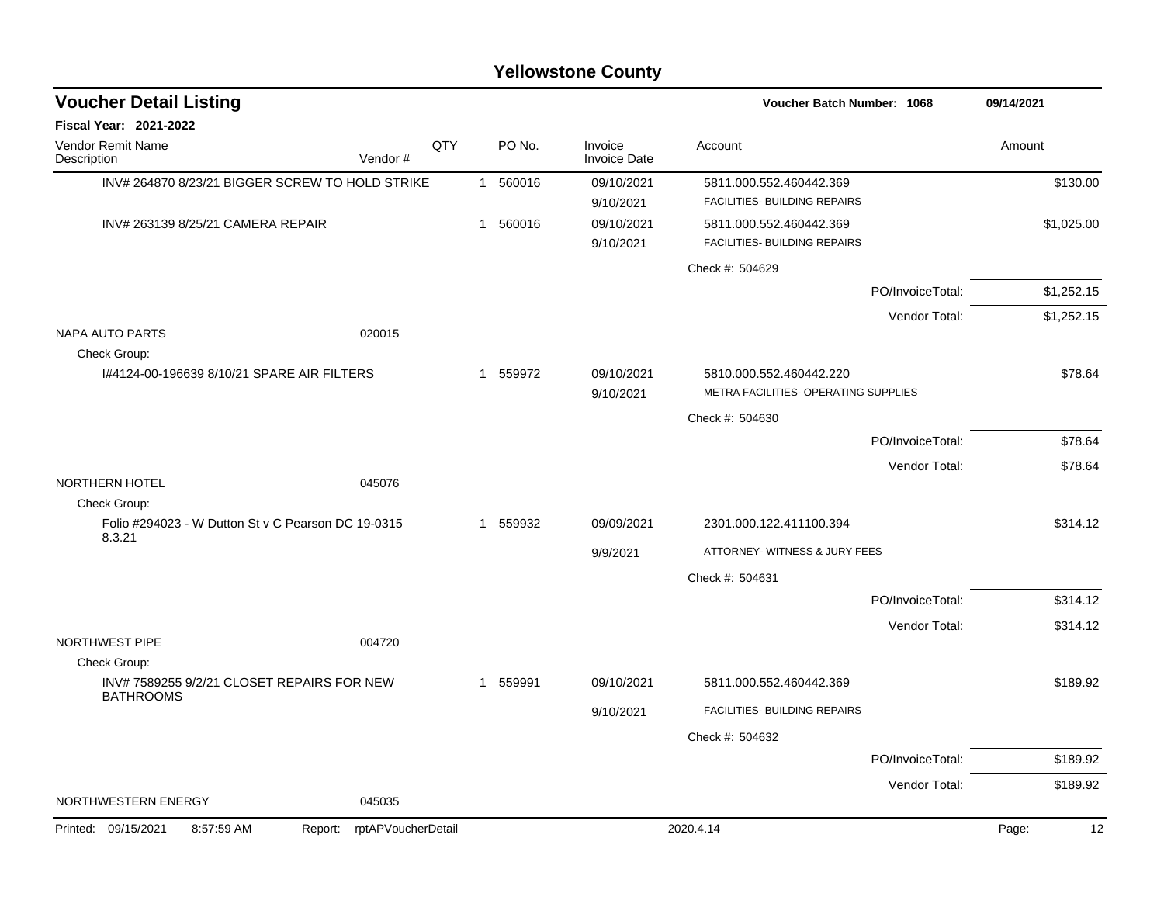| <b>Voucher Detail Listing</b>                                  |                               |     |              |                                | Voucher Batch Number: 1068           |                  | 09/14/2021  |
|----------------------------------------------------------------|-------------------------------|-----|--------------|--------------------------------|--------------------------------------|------------------|-------------|
| <b>Fiscal Year: 2021-2022</b>                                  |                               |     |              |                                |                                      |                  |             |
| Vendor Remit Name<br>Description                               | Vendor#                       | QTY | PO No.       | Invoice<br><b>Invoice Date</b> | Account                              |                  | Amount      |
| INV# 264870 8/23/21 BIGGER SCREW TO HOLD STRIKE                |                               |     | 1 560016     | 09/10/2021                     | 5811.000.552.460442.369              |                  | \$130.00    |
|                                                                |                               |     |              | 9/10/2021                      | FACILITIES- BUILDING REPAIRS         |                  |             |
| INV# 263139 8/25/21 CAMERA REPAIR                              |                               |     | 1 560016     | 09/10/2021                     | 5811.000.552.460442.369              |                  | \$1,025.00  |
|                                                                |                               |     |              | 9/10/2021                      | FACILITIES- BUILDING REPAIRS         |                  |             |
|                                                                |                               |     |              |                                | Check #: 504629                      |                  |             |
|                                                                |                               |     |              |                                |                                      | PO/InvoiceTotal: | \$1,252.15  |
|                                                                |                               |     |              |                                |                                      | Vendor Total:    | \$1,252.15  |
| <b>NAPA AUTO PARTS</b><br>Check Group:                         | 020015                        |     |              |                                |                                      |                  |             |
| 1#4124-00-196639 8/10/21 SPARE AIR FILTERS                     |                               |     | 1 559972     | 09/10/2021                     | 5810.000.552.460442.220              |                  | \$78.64     |
|                                                                |                               |     |              | 9/10/2021                      | METRA FACILITIES- OPERATING SUPPLIES |                  |             |
|                                                                |                               |     |              |                                | Check #: 504630                      |                  |             |
|                                                                |                               |     |              |                                |                                      | PO/InvoiceTotal: | \$78.64     |
|                                                                |                               |     |              |                                |                                      | Vendor Total:    | \$78.64     |
| NORTHERN HOTEL<br>Check Group:                                 | 045076                        |     |              |                                |                                      |                  |             |
| Folio #294023 - W Dutton St v C Pearson DC 19-0315<br>8.3.21   |                               |     | 1 559932     | 09/09/2021                     | 2301.000.122.411100.394              |                  | \$314.12    |
|                                                                |                               |     |              | 9/9/2021                       | ATTORNEY- WITNESS & JURY FEES        |                  |             |
|                                                                |                               |     |              |                                | Check #: 504631                      |                  |             |
|                                                                |                               |     |              |                                |                                      | PO/InvoiceTotal: | \$314.12    |
|                                                                |                               |     |              |                                |                                      | Vendor Total:    | \$314.12    |
| NORTHWEST PIPE                                                 | 004720                        |     |              |                                |                                      |                  |             |
| Check Group:                                                   |                               |     |              |                                |                                      |                  |             |
| INV# 7589255 9/2/21 CLOSET REPAIRS FOR NEW<br><b>BATHROOMS</b> |                               |     | 559991<br>-1 | 09/10/2021                     | 5811.000.552.460442.369              |                  | \$189.92    |
|                                                                |                               |     |              | 9/10/2021                      | FACILITIES- BUILDING REPAIRS         |                  |             |
|                                                                |                               |     |              |                                | Check #: 504632                      |                  |             |
|                                                                |                               |     |              |                                |                                      | PO/InvoiceTotal: | \$189.92    |
|                                                                |                               |     |              |                                |                                      | Vendor Total:    | \$189.92    |
| NORTHWESTERN ENERGY                                            | 045035                        |     |              |                                |                                      |                  |             |
| 8:57:59 AM<br>Printed: 09/15/2021                              | rptAPVoucherDetail<br>Report: |     |              |                                | 2020.4.14                            |                  | Page:<br>12 |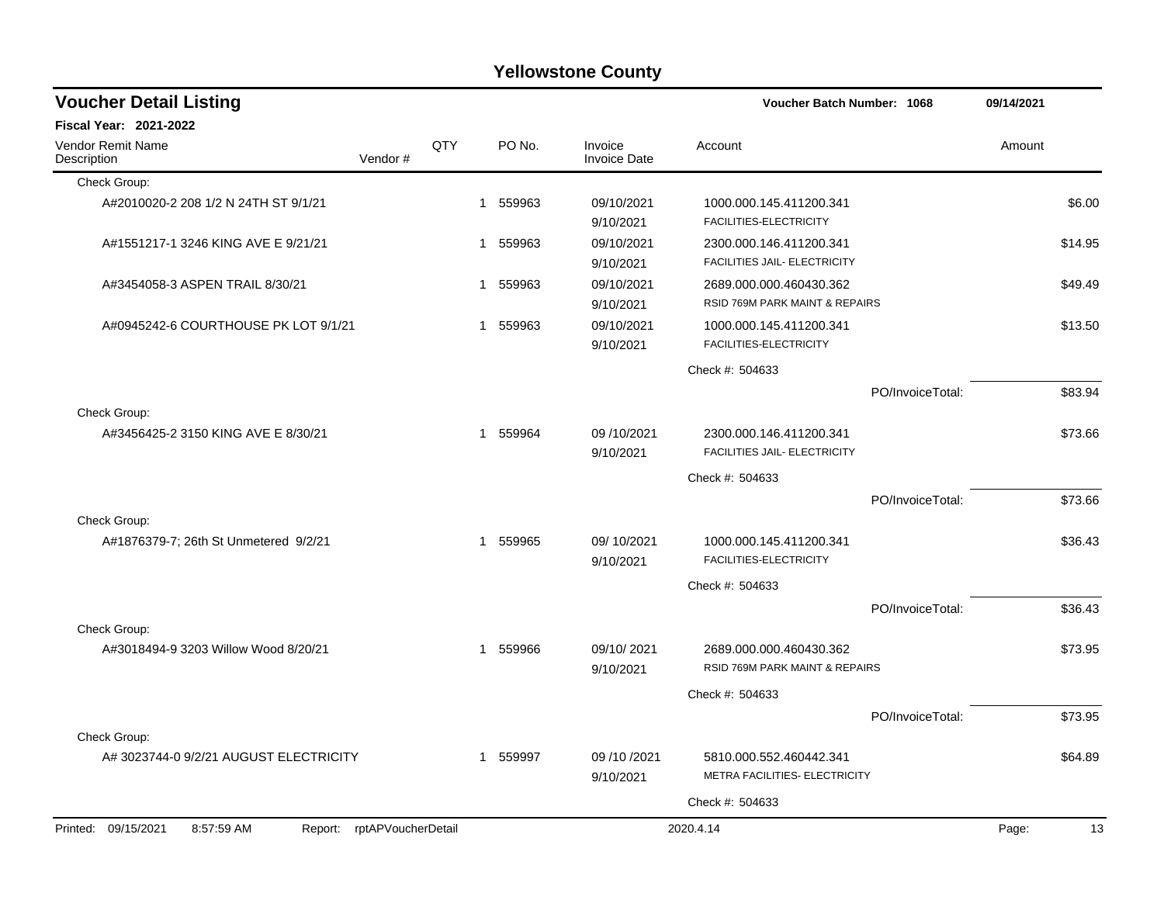| <b>Yellowstone County</b> |  |
|---------------------------|--|
|---------------------------|--|

| <b>Voucher Detail Listing</b>                                   |     |          |                                | Voucher Batch Number: 1068                                |                  | 09/14/2021 |         |
|-----------------------------------------------------------------|-----|----------|--------------------------------|-----------------------------------------------------------|------------------|------------|---------|
| <b>Fiscal Year: 2021-2022</b>                                   |     |          |                                |                                                           |                  |            |         |
| Vendor Remit Name<br>Vendor#<br>Description                     | QTY | PO No.   | Invoice<br><b>Invoice Date</b> | Account                                                   |                  | Amount     |         |
| Check Group:                                                    |     |          |                                |                                                           |                  |            |         |
| A#2010020-2 208 1/2 N 24TH ST 9/1/21                            |     | 1 559963 | 09/10/2021<br>9/10/2021        | 1000.000.145.411200.341<br>FACILITIES-ELECTRICITY         |                  |            | \$6.00  |
| A#1551217-1 3246 KING AVE E 9/21/21                             |     | 1 559963 | 09/10/2021<br>9/10/2021        | 2300.000.146.411200.341<br>FACILITIES JAIL- ELECTRICITY   |                  |            | \$14.95 |
| A#3454058-3 ASPEN TRAIL 8/30/21                                 |     | 1 559963 | 09/10/2021<br>9/10/2021        | 2689.000.000.460430.362<br>RSID 769M PARK MAINT & REPAIRS |                  |            | \$49.49 |
| A#0945242-6 COURTHOUSE PK LOT 9/1/21                            |     | 1 559963 | 09/10/2021<br>9/10/2021        | 1000.000.145.411200.341<br>FACILITIES-ELECTRICITY         |                  |            | \$13.50 |
|                                                                 |     |          |                                | Check #: 504633                                           |                  |            |         |
|                                                                 |     |          |                                |                                                           | PO/InvoiceTotal: |            | \$83.94 |
| Check Group:                                                    |     |          |                                |                                                           |                  |            |         |
| A#3456425-2 3150 KING AVE E 8/30/21                             |     | 1 559964 | 09/10/2021<br>9/10/2021        | 2300.000.146.411200.341<br>FACILITIES JAIL- ELECTRICITY   |                  |            | \$73.66 |
|                                                                 |     |          |                                | Check #: 504633                                           |                  |            |         |
|                                                                 |     |          |                                |                                                           | PO/InvoiceTotal: |            | \$73.66 |
| Check Group:                                                    |     |          |                                |                                                           |                  |            |         |
| A#1876379-7; 26th St Unmetered 9/2/21                           |     | 1 559965 | 09/10/2021<br>9/10/2021        | 1000.000.145.411200.341<br>FACILITIES-ELECTRICITY         |                  |            | \$36.43 |
|                                                                 |     |          |                                | Check #: 504633                                           |                  |            |         |
|                                                                 |     |          |                                |                                                           | PO/InvoiceTotal: |            | \$36.43 |
| Check Group:                                                    |     |          |                                |                                                           |                  |            |         |
| A#3018494-9 3203 Willow Wood 8/20/21                            |     | 1 559966 | 09/10/2021<br>9/10/2021        | 2689.000.000.460430.362<br>RSID 769M PARK MAINT & REPAIRS |                  |            | \$73.95 |
|                                                                 |     |          |                                | Check #: 504633                                           |                  |            |         |
|                                                                 |     |          |                                |                                                           | PO/InvoiceTotal: |            | \$73.95 |
| Check Group:                                                    |     |          |                                |                                                           |                  |            |         |
| A# 3023744-0 9/2/21 AUGUST ELECTRICITY                          |     | 1 559997 | 09 /10 /2021<br>9/10/2021      | 5810.000.552.460442.341<br>METRA FACILITIES- ELECTRICITY  |                  |            | \$64.89 |
|                                                                 |     |          |                                | Check #: 504633                                           |                  |            |         |
| 8:57:59 AM<br>Report: rptAPVoucherDetail<br>Printed: 09/15/2021 |     |          |                                | 2020.4.14                                                 |                  | Page:      | 13      |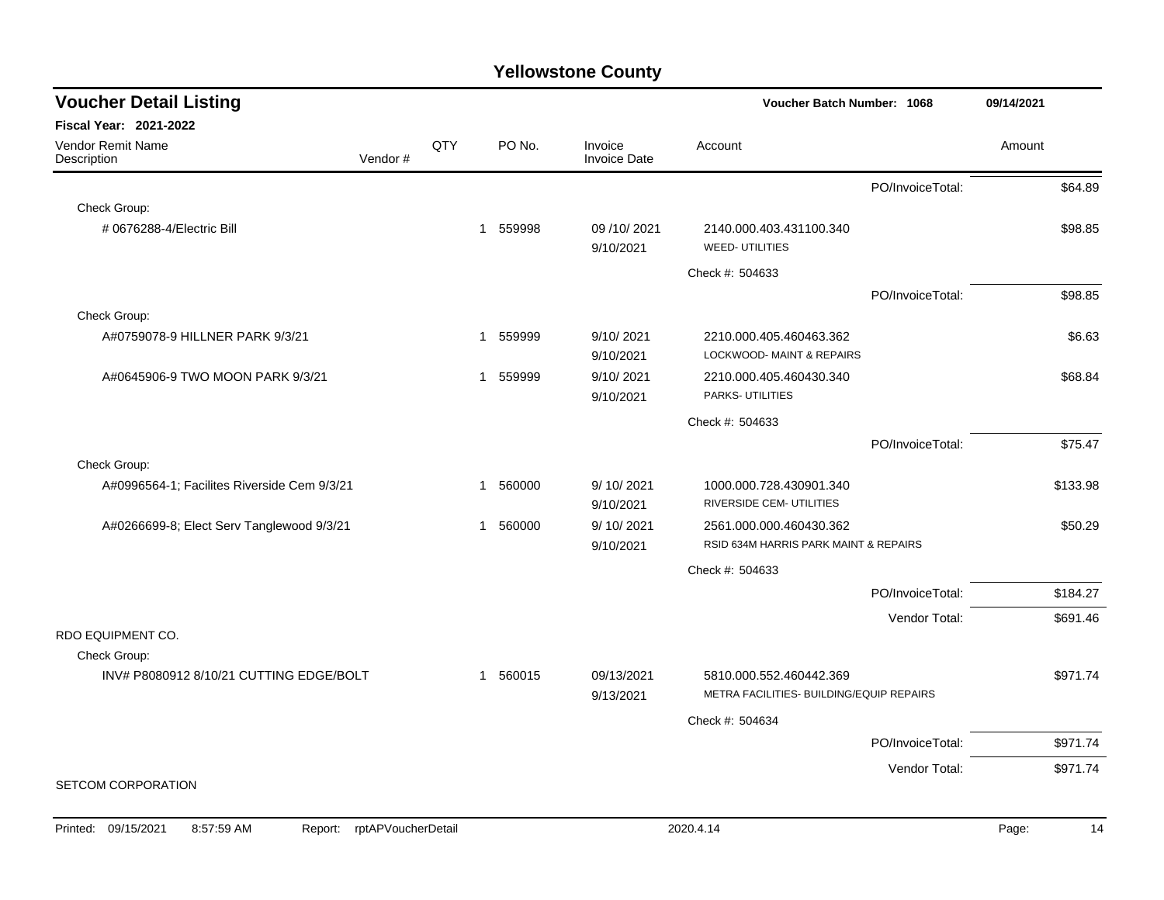| <b>Voucher Detail Listing</b>               |         |     |              |        |                                | Voucher Batch Number: 1068                                          |                  | 09/14/2021 |          |
|---------------------------------------------|---------|-----|--------------|--------|--------------------------------|---------------------------------------------------------------------|------------------|------------|----------|
| Fiscal Year: 2021-2022                      |         |     |              |        |                                |                                                                     |                  |            |          |
| Vendor Remit Name<br>Description            | Vendor# | QTY |              | PO No. | Invoice<br><b>Invoice Date</b> | Account                                                             |                  | Amount     |          |
|                                             |         |     |              |        |                                |                                                                     | PO/InvoiceTotal: |            | \$64.89  |
| Check Group:                                |         |     |              |        |                                |                                                                     |                  |            |          |
| #0676288-4/Electric Bill                    |         |     | 1 559998     |        | 09/10/2021<br>9/10/2021        | 2140.000.403.431100.340<br><b>WEED- UTILITIES</b>                   |                  |            | \$98.85  |
|                                             |         |     |              |        |                                | Check #: 504633                                                     |                  |            |          |
|                                             |         |     |              |        |                                |                                                                     | PO/InvoiceTotal: |            | \$98.85  |
| Check Group:                                |         |     |              |        |                                |                                                                     |                  |            |          |
| A#0759078-9 HILLNER PARK 9/3/21             |         |     | 559999<br>1  |        | 9/10/2021<br>9/10/2021         | 2210.000.405.460463.362<br>LOCKWOOD- MAINT & REPAIRS                |                  |            | \$6.63   |
| A#0645906-9 TWO MOON PARK 9/3/21            |         |     | 1            | 559999 | 9/10/2021                      | 2210.000.405.460430.340                                             |                  |            | \$68.84  |
|                                             |         |     |              |        | 9/10/2021                      | PARKS- UTILITIES                                                    |                  |            |          |
|                                             |         |     |              |        |                                | Check #: 504633                                                     |                  |            |          |
|                                             |         |     |              |        |                                |                                                                     | PO/InvoiceTotal: |            | \$75.47  |
| Check Group:                                |         |     |              |        |                                |                                                                     |                  |            |          |
| A#0996564-1; Facilites Riverside Cem 9/3/21 |         |     | $\mathbf{1}$ | 560000 | 9/10/2021<br>9/10/2021         | 1000.000.728.430901.340<br>RIVERSIDE CEM- UTILITIES                 |                  |            | \$133.98 |
| A#0266699-8; Elect Serv Tanglewood 9/3/21   |         |     | 1            | 560000 | 9/ 10/ 2021                    | 2561.000.000.460430.362                                             |                  |            | \$50.29  |
|                                             |         |     |              |        | 9/10/2021                      | RSID 634M HARRIS PARK MAINT & REPAIRS                               |                  |            |          |
|                                             |         |     |              |        |                                | Check #: 504633                                                     |                  |            |          |
|                                             |         |     |              |        |                                |                                                                     | PO/InvoiceTotal: |            | \$184.27 |
|                                             |         |     |              |        |                                |                                                                     | Vendor Total:    |            | \$691.46 |
| RDO EQUIPMENT CO.                           |         |     |              |        |                                |                                                                     |                  |            |          |
| Check Group:                                |         |     |              |        |                                |                                                                     |                  |            |          |
| INV# P8080912 8/10/21 CUTTING EDGE/BOLT     |         |     | 1 560015     |        | 09/13/2021<br>9/13/2021        | 5810.000.552.460442.369<br>METRA FACILITIES- BUILDING/EQUIP REPAIRS |                  |            | \$971.74 |
|                                             |         |     |              |        |                                | Check #: 504634                                                     |                  |            |          |
|                                             |         |     |              |        |                                |                                                                     | PO/InvoiceTotal: |            | \$971.74 |
|                                             |         |     |              |        |                                |                                                                     | Vendor Total:    |            | \$971.74 |
| <b>SETCOM CORPORATION</b>                   |         |     |              |        |                                |                                                                     |                  |            |          |
|                                             |         |     |              |        |                                |                                                                     |                  |            |          |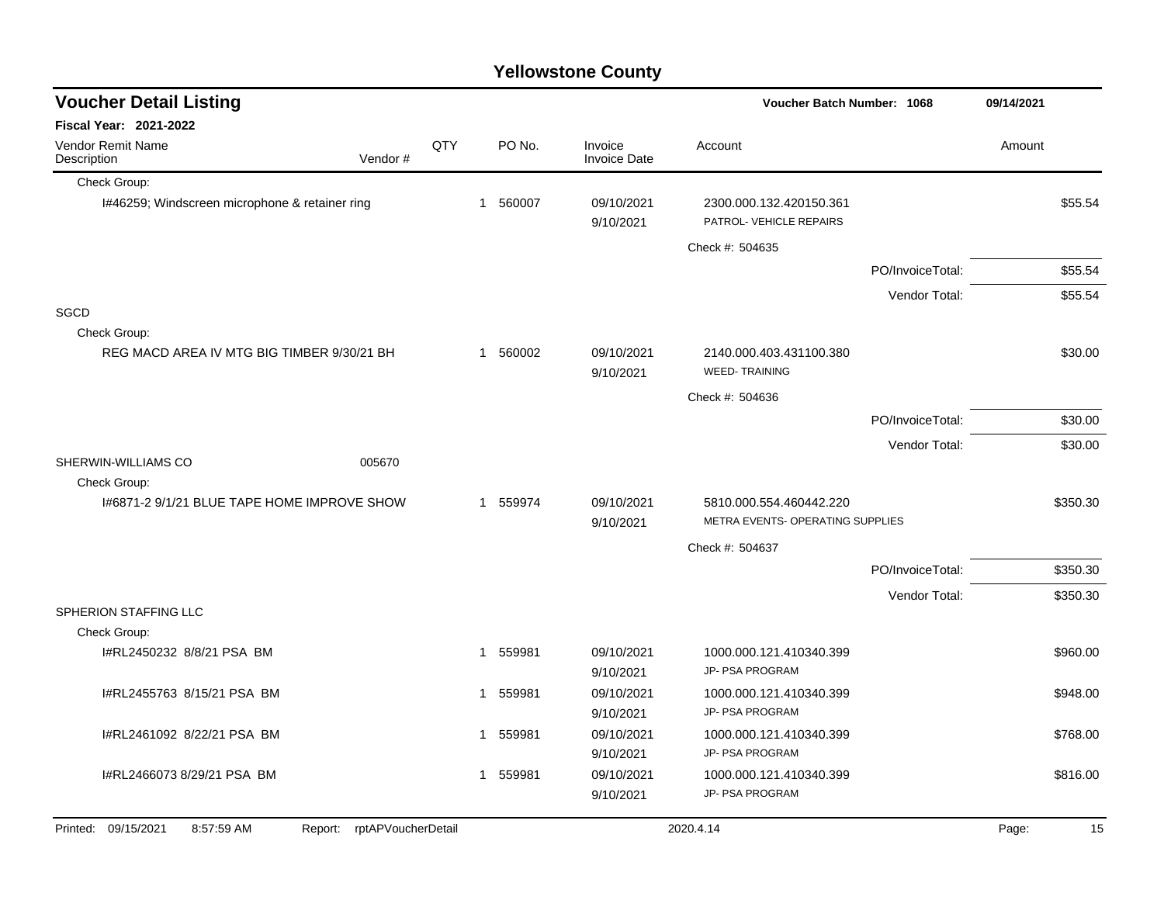| <b>Voucher Detail Listing</b>                  |                            |     |                        |                                | Voucher Batch Number: 1068                         | 09/14/2021       |        |          |
|------------------------------------------------|----------------------------|-----|------------------------|--------------------------------|----------------------------------------------------|------------------|--------|----------|
| Fiscal Year: 2021-2022                         |                            |     |                        |                                |                                                    |                  |        |          |
| Vendor Remit Name<br>Description               | Vendor#                    | QTY | PO No.                 | Invoice<br><b>Invoice Date</b> | Account                                            |                  | Amount |          |
| Check Group:                                   |                            |     |                        |                                |                                                    |                  |        |          |
| I#46259; Windscreen microphone & retainer ring |                            |     | 1 560007               | 09/10/2021<br>9/10/2021        | 2300.000.132.420150.361<br>PATROL- VEHICLE REPAIRS |                  |        | \$55.54  |
|                                                |                            |     |                        |                                | Check #: 504635                                    |                  |        |          |
|                                                |                            |     |                        |                                |                                                    | PO/InvoiceTotal: |        | \$55.54  |
|                                                |                            |     |                        |                                |                                                    | Vendor Total:    |        | \$55.54  |
| <b>SGCD</b>                                    |                            |     |                        |                                |                                                    |                  |        |          |
| Check Group:                                   |                            |     |                        |                                |                                                    |                  |        |          |
| REG MACD AREA IV MTG BIG TIMBER 9/30/21 BH     |                            |     | 1 560002               | 09/10/2021<br>9/10/2021        | 2140.000.403.431100.380<br><b>WEED-TRAINING</b>    |                  |        | \$30.00  |
|                                                |                            |     |                        |                                | Check #: 504636                                    |                  |        |          |
|                                                |                            |     |                        |                                |                                                    | PO/InvoiceTotal: |        | \$30.00  |
|                                                |                            |     |                        |                                |                                                    | Vendor Total:    |        | \$30.00  |
| SHERWIN-WILLIAMS CO                            | 005670                     |     |                        |                                |                                                    |                  |        |          |
| Check Group:                                   |                            |     |                        |                                |                                                    |                  |        |          |
| I#6871-2 9/1/21 BLUE TAPE HOME IMPROVE SHOW    |                            |     | 1 559974               | 09/10/2021                     | 5810.000.554.460442.220                            |                  |        | \$350.30 |
|                                                |                            |     |                        | 9/10/2021                      | METRA EVENTS- OPERATING SUPPLIES                   |                  |        |          |
|                                                |                            |     |                        |                                | Check #: 504637                                    |                  |        |          |
|                                                |                            |     |                        |                                |                                                    | PO/InvoiceTotal: |        | \$350.30 |
|                                                |                            |     |                        |                                |                                                    | Vendor Total:    |        | \$350.30 |
| SPHERION STAFFING LLC<br>Check Group:          |                            |     |                        |                                |                                                    |                  |        |          |
| I#RL2450232 8/8/21 PSA BM                      |                            |     | 1 559981               | 09/10/2021                     | 1000.000.121.410340.399                            |                  |        | \$960.00 |
|                                                |                            |     |                        | 9/10/2021                      | JP- PSA PROGRAM                                    |                  |        |          |
| I#RL2455763 8/15/21 PSA BM                     |                            |     | 559981<br>1            | 09/10/2021                     | 1000.000.121.410340.399                            |                  |        | \$948.00 |
|                                                |                            |     |                        | 9/10/2021                      | JP- PSA PROGRAM                                    |                  |        |          |
| I#RL2461092 8/22/21 PSA BM                     |                            |     | 559981<br>$\mathbf 1$  | 09/10/2021                     | 1000.000.121.410340.399                            |                  |        | \$768.00 |
|                                                |                            |     |                        | 9/10/2021                      | JP- PSA PROGRAM                                    |                  |        |          |
| I#RL2466073 8/29/21 PSA BM                     |                            |     | 559981<br>$\mathbf{1}$ | 09/10/2021                     | 1000.000.121.410340.399                            |                  |        | \$816.00 |
|                                                |                            |     |                        | 9/10/2021                      | JP- PSA PROGRAM                                    |                  |        |          |
| Printed: 09/15/2021<br>8:57:59 AM              | Report: rptAPVoucherDetail |     |                        |                                | 2020.4.14                                          |                  | Page:  | 15       |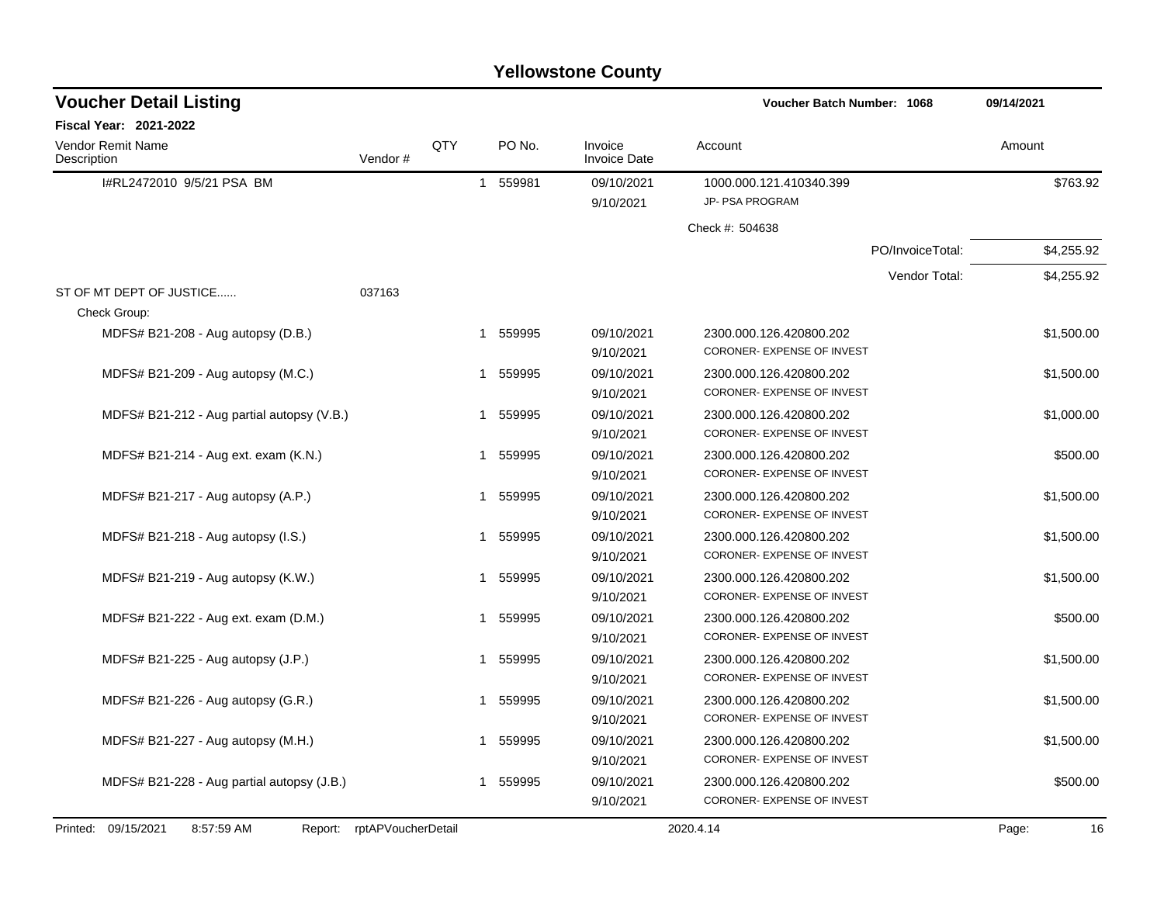| <b>Yellowstone County</b> |  |  |
|---------------------------|--|--|
|---------------------------|--|--|

| <b>Voucher Detail Listing</b>              |         |     |              |          |                                | Voucher Batch Number: 1068                 |                  | 09/14/2021 |          |
|--------------------------------------------|---------|-----|--------------|----------|--------------------------------|--------------------------------------------|------------------|------------|----------|
| <b>Fiscal Year: 2021-2022</b>              |         |     |              |          |                                |                                            |                  |            |          |
| Vendor Remit Name<br>Description           | Vendor# | QTY |              | PO No.   | Invoice<br><b>Invoice Date</b> | Account                                    |                  | Amount     |          |
| I#RL2472010 9/5/21 PSA BM                  |         |     | $\mathbf{1}$ | 559981   | 09/10/2021<br>9/10/2021        | 1000.000.121.410340.399<br>JP- PSA PROGRAM |                  |            | \$763.92 |
|                                            |         |     |              |          |                                | Check #: 504638                            |                  |            |          |
|                                            |         |     |              |          |                                |                                            | PO/InvoiceTotal: | \$4,255.92 |          |
|                                            |         |     |              |          |                                |                                            | Vendor Total:    | \$4,255.92 |          |
| ST OF MT DEPT OF JUSTICE                   | 037163  |     |              |          |                                |                                            |                  |            |          |
| Check Group:                               |         |     |              |          |                                |                                            |                  |            |          |
| MDFS# B21-208 - Aug autopsy (D.B.)         |         |     | 1            | 559995   | 09/10/2021                     | 2300.000.126.420800.202                    |                  | \$1,500.00 |          |
|                                            |         |     |              |          | 9/10/2021                      | CORONER- EXPENSE OF INVEST                 |                  |            |          |
| MDFS# B21-209 - Aug autopsy (M.C.)         |         |     | 1            | 559995   | 09/10/2021                     | 2300.000.126.420800.202                    |                  | \$1,500.00 |          |
|                                            |         |     |              |          | 9/10/2021                      | CORONER- EXPENSE OF INVEST                 |                  |            |          |
| MDFS# B21-212 - Aug partial autopsy (V.B.) |         |     |              | 1 559995 | 09/10/2021                     | 2300.000.126.420800.202                    |                  | \$1,000.00 |          |
|                                            |         |     |              |          | 9/10/2021                      | CORONER- EXPENSE OF INVEST                 |                  |            |          |
| MDFS# B21-214 - Aug ext. exam (K.N.)       |         |     | 1            | 559995   | 09/10/2021                     | 2300.000.126.420800.202                    |                  |            | \$500.00 |
|                                            |         |     |              |          | 9/10/2021                      | CORONER- EXPENSE OF INVEST                 |                  |            |          |
| MDFS# B21-217 - Aug autopsy (A.P.)         |         |     |              | 1 559995 | 09/10/2021                     | 2300.000.126.420800.202                    |                  | \$1,500.00 |          |
|                                            |         |     |              |          | 9/10/2021                      | CORONER- EXPENSE OF INVEST                 |                  |            |          |
| MDFS# B21-218 - Aug autopsy (I.S.)         |         |     | 1            | 559995   | 09/10/2021                     | 2300.000.126.420800.202                    |                  | \$1,500.00 |          |
|                                            |         |     |              |          | 9/10/2021                      | CORONER- EXPENSE OF INVEST                 |                  |            |          |
| MDFS# B21-219 - Aug autopsy (K.W.)         |         |     | 1            | 559995   | 09/10/2021                     | 2300.000.126.420800.202                    |                  | \$1,500.00 |          |
|                                            |         |     |              |          | 9/10/2021                      | CORONER- EXPENSE OF INVEST                 |                  |            |          |
| MDFS# B21-222 - Aug ext. exam (D.M.)       |         |     | $\mathbf{1}$ | 559995   | 09/10/2021                     | 2300.000.126.420800.202                    |                  |            | \$500.00 |
|                                            |         |     |              |          | 9/10/2021                      | CORONER- EXPENSE OF INVEST                 |                  |            |          |
| MDFS# B21-225 - Aug autopsy (J.P.)         |         |     | $\mathbf{1}$ | 559995   | 09/10/2021                     | 2300.000.126.420800.202                    |                  | \$1,500.00 |          |
|                                            |         |     |              |          | 9/10/2021                      | CORONER- EXPENSE OF INVEST                 |                  |            |          |
| MDFS# B21-226 - Aug autopsy (G.R.)         |         |     | $\mathbf{1}$ | 559995   | 09/10/2021                     | 2300.000.126.420800.202                    |                  | \$1,500.00 |          |
|                                            |         |     |              |          | 9/10/2021                      | CORONER- EXPENSE OF INVEST                 |                  |            |          |
| MDFS# B21-227 - Aug autopsy (M.H.)         |         |     | $\mathbf{1}$ | 559995   | 09/10/2021                     | 2300.000.126.420800.202                    |                  | \$1,500.00 |          |
|                                            |         |     |              |          | 9/10/2021                      | CORONER- EXPENSE OF INVEST                 |                  |            |          |
| MDFS# B21-228 - Aug partial autopsy (J.B.) |         |     | $\mathbf{1}$ | 559995   | 09/10/2021                     | 2300.000.126.420800.202                    |                  |            | \$500.00 |
|                                            |         |     |              |          | 9/10/2021                      | CORONER- EXPENSE OF INVEST                 |                  |            |          |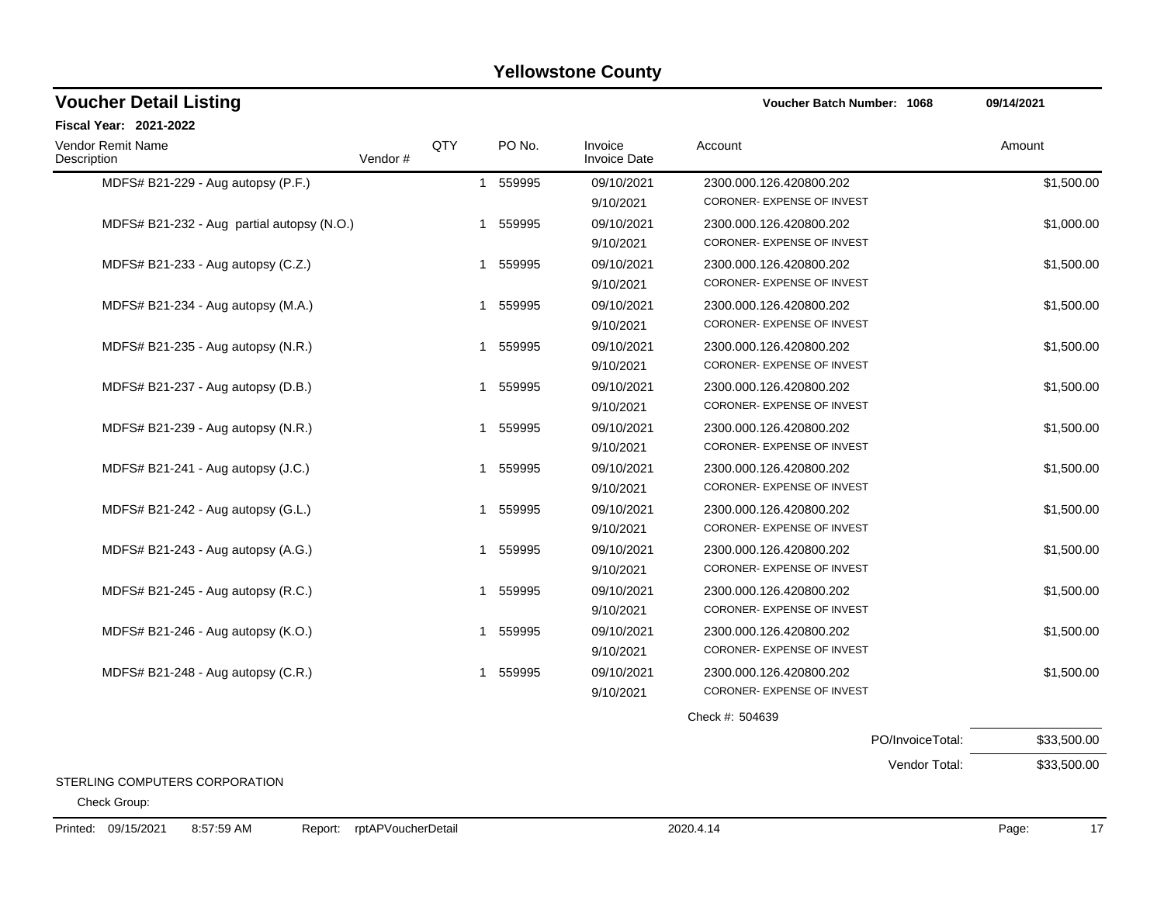| <b>Voucher Detail Listing</b>              |         |     |             |                         | Voucher Batch Number: 1068                            | 09/14/2021  |
|--------------------------------------------|---------|-----|-------------|-------------------------|-------------------------------------------------------|-------------|
| <b>Fiscal Year: 2021-2022</b>              |         |     |             |                         |                                                       |             |
| Vendor Remit Name<br>Description           | Vendor# | QTY | PO No.      | Invoice<br>Invoice Date | Account                                               | Amount      |
| MDFS# B21-229 - Aug autopsy (P.F.)         |         |     | 559995<br>1 | 09/10/2021<br>9/10/2021 | 2300.000.126.420800.202<br>CORONER- EXPENSE OF INVEST | \$1,500.00  |
| MDFS# B21-232 - Aug partial autopsy (N.O.) |         |     | 559995<br>1 | 09/10/2021<br>9/10/2021 | 2300.000.126.420800.202<br>CORONER- EXPENSE OF INVEST | \$1,000.00  |
| MDFS# B21-233 - Aug autopsy (C.Z.)         |         |     | 559995<br>1 | 09/10/2021<br>9/10/2021 | 2300.000.126.420800.202<br>CORONER- EXPENSE OF INVEST | \$1,500.00  |
| MDFS# B21-234 - Aug autopsy (M.A.)         |         |     | 559995<br>1 | 09/10/2021<br>9/10/2021 | 2300.000.126.420800.202<br>CORONER- EXPENSE OF INVEST | \$1,500.00  |
| MDFS# B21-235 - Aug autopsy (N.R.)         |         |     | 559995<br>1 | 09/10/2021<br>9/10/2021 | 2300.000.126.420800.202<br>CORONER- EXPENSE OF INVEST | \$1,500.00  |
| MDFS# B21-237 - Aug autopsy (D.B.)         |         |     | 559995<br>1 | 09/10/2021<br>9/10/2021 | 2300.000.126.420800.202<br>CORONER- EXPENSE OF INVEST | \$1,500.00  |
| MDFS# B21-239 - Aug autopsy (N.R.)         |         |     | 559995<br>1 | 09/10/2021<br>9/10/2021 | 2300.000.126.420800.202<br>CORONER- EXPENSE OF INVEST | \$1,500.00  |
| MDFS# B21-241 - Aug autopsy (J.C.)         |         |     | 559995<br>1 | 09/10/2021<br>9/10/2021 | 2300.000.126.420800.202<br>CORONER- EXPENSE OF INVEST | \$1,500.00  |
| MDFS# B21-242 - Aug autopsy (G.L.)         |         |     | 559995<br>1 | 09/10/2021<br>9/10/2021 | 2300.000.126.420800.202<br>CORONER- EXPENSE OF INVEST | \$1,500.00  |
| MDFS# B21-243 - Aug autopsy (A.G.)         |         |     | 559995<br>1 | 09/10/2021<br>9/10/2021 | 2300.000.126.420800.202<br>CORONER- EXPENSE OF INVEST | \$1,500.00  |
| MDFS# B21-245 - Aug autopsy (R.C.)         |         |     | 559995<br>1 | 09/10/2021<br>9/10/2021 | 2300.000.126.420800.202<br>CORONER- EXPENSE OF INVEST | \$1,500.00  |
| MDFS# B21-246 - Aug autopsy (K.O.)         |         |     | 1 559995    | 09/10/2021<br>9/10/2021 | 2300.000.126.420800.202<br>CORONER- EXPENSE OF INVEST | \$1,500.00  |
| MDFS# B21-248 - Aug autopsy (C.R.)         |         |     | 559995<br>1 | 09/10/2021<br>9/10/2021 | 2300.000.126.420800.202<br>CORONER- EXPENSE OF INVEST | \$1,500.00  |
|                                            |         |     |             |                         | Check #: 504639                                       |             |
|                                            |         |     |             |                         | PO/InvoiceTotal:                                      | \$33,500.00 |
|                                            |         |     |             |                         | Vendor Total:                                         | \$33,500.00 |

STERLING COMPUTERS CORPORATION

Check Group: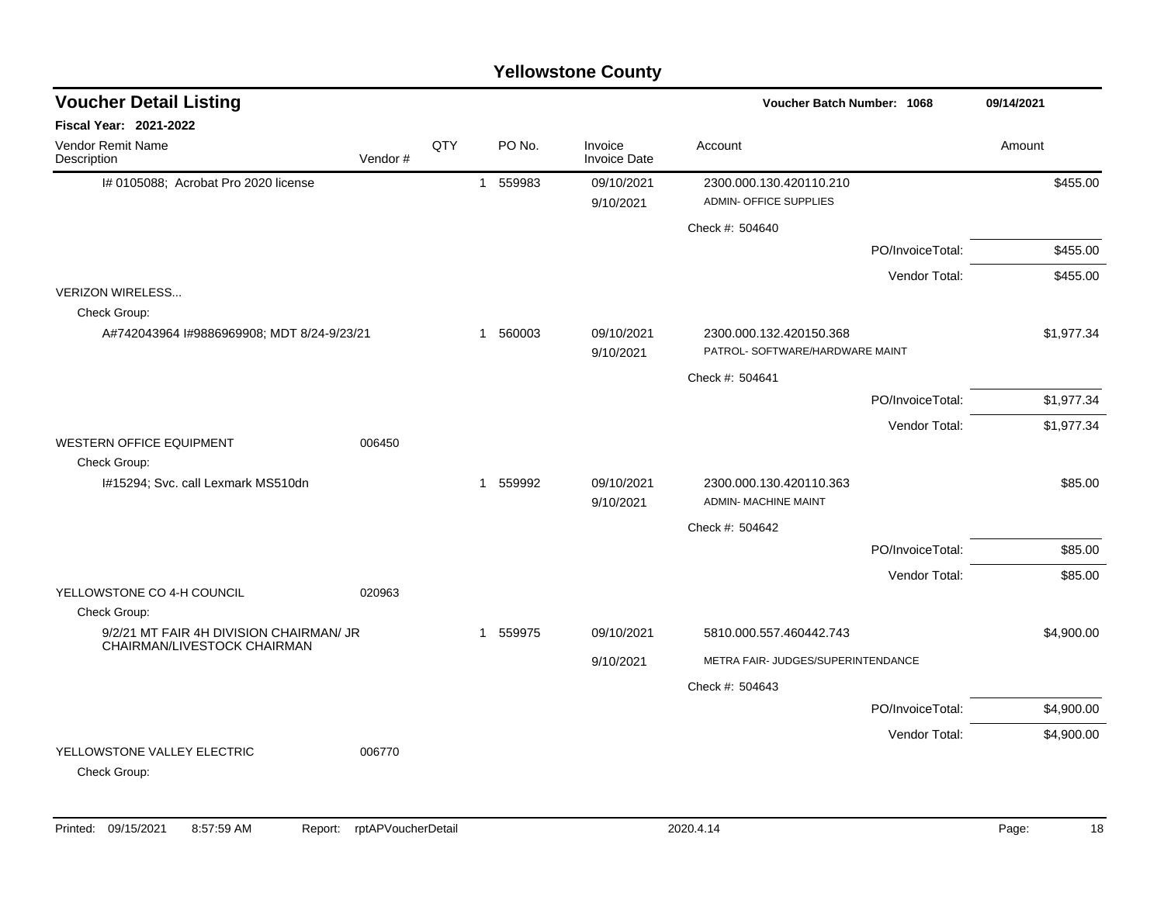| <b>Voucher Detail Listing</b>                           |         |     | Voucher Batch Number: 1068 |          |                                |                                                            |                  | 09/14/2021 |
|---------------------------------------------------------|---------|-----|----------------------------|----------|--------------------------------|------------------------------------------------------------|------------------|------------|
| <b>Fiscal Year: 2021-2022</b>                           |         |     |                            |          |                                |                                                            |                  |            |
| Vendor Remit Name<br>Description                        | Vendor# | QTY |                            | PO No.   | Invoice<br><b>Invoice Date</b> | Account                                                    |                  | Amount     |
| I# 0105088; Acrobat Pro 2020 license                    |         |     |                            | 1 559983 | 09/10/2021<br>9/10/2021        | 2300.000.130.420110.210<br><b>ADMIN- OFFICE SUPPLIES</b>   |                  | \$455.00   |
|                                                         |         |     |                            |          |                                | Check #: 504640                                            |                  |            |
|                                                         |         |     |                            |          |                                |                                                            | PO/InvoiceTotal: | \$455.00   |
|                                                         |         |     |                            |          |                                |                                                            | Vendor Total:    | \$455.00   |
| <b>VERIZON WIRELESS</b>                                 |         |     |                            |          |                                |                                                            |                  |            |
| Check Group:                                            |         |     |                            |          |                                |                                                            |                  |            |
| A#742043964 I#9886969908; MDT 8/24-9/23/21              |         |     |                            | 1 560003 | 09/10/2021<br>9/10/2021        | 2300.000.132.420150.368<br>PATROL- SOFTWARE/HARDWARE MAINT |                  | \$1,977.34 |
|                                                         |         |     |                            |          |                                | Check #: 504641                                            |                  |            |
|                                                         |         |     |                            |          |                                |                                                            | PO/InvoiceTotal: | \$1,977.34 |
|                                                         |         |     |                            |          |                                |                                                            | Vendor Total:    | \$1,977.34 |
| <b>WESTERN OFFICE EQUIPMENT</b>                         | 006450  |     |                            |          |                                |                                                            |                  |            |
| Check Group:<br>I#15294; Svc. call Lexmark MS510dn      |         |     | $\mathbf{1}$               | 559992   | 09/10/2021                     | 2300.000.130.420110.363                                    |                  | \$85.00    |
|                                                         |         |     |                            |          | 9/10/2021                      | <b>ADMIN- MACHINE MAINT</b>                                |                  |            |
|                                                         |         |     |                            |          |                                | Check #: 504642                                            |                  |            |
|                                                         |         |     |                            |          |                                |                                                            | PO/InvoiceTotal: | \$85.00    |
|                                                         |         |     |                            |          |                                |                                                            | Vendor Total:    | \$85.00    |
| YELLOWSTONE CO 4-H COUNCIL                              | 020963  |     |                            |          |                                |                                                            |                  |            |
| Check Group:<br>9/2/21 MT FAIR 4H DIVISION CHAIRMAN/ JR |         |     |                            | 1 559975 | 09/10/2021                     | 5810.000.557.460442.743                                    |                  | \$4,900.00 |
| CHAIRMAN/LIVESTOCK CHAIRMAN                             |         |     |                            |          | 9/10/2021                      | METRA FAIR- JUDGES/SUPERINTENDANCE                         |                  |            |
|                                                         |         |     |                            |          |                                | Check #: 504643                                            |                  |            |
|                                                         |         |     |                            |          |                                |                                                            | PO/InvoiceTotal: | \$4,900.00 |
|                                                         |         |     |                            |          |                                |                                                            |                  |            |
| YELLOWSTONE VALLEY ELECTRIC<br>Check Group:             | 006770  |     |                            |          |                                |                                                            | Vendor Total:    | \$4,900.00 |